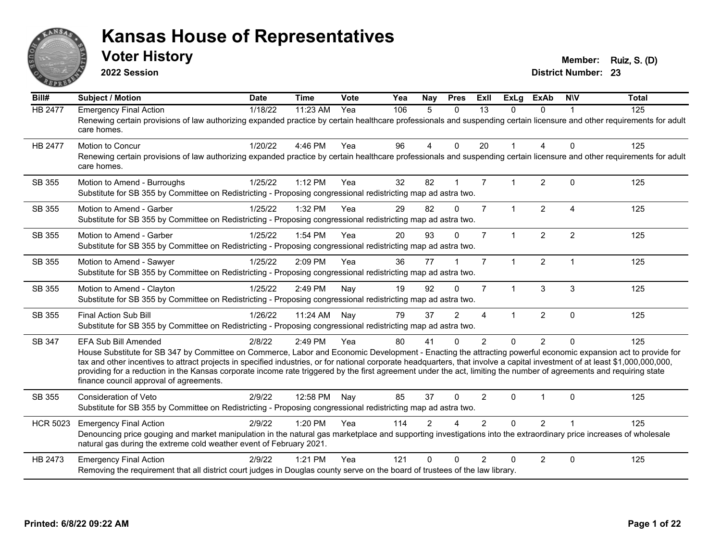

**2022 Session**

**Voter History Member: Ruiz, S. (D)** 

| Bill#           | <b>Subject / Motion</b>                                                                                                                                                                                                                                                                                                                                                                                                                                                                                                                                                                            | <b>Date</b> | <b>Time</b> | <b>Vote</b> | Yea | Nay            | <b>Pres</b>   | ExII                     | <b>ExLg</b>    | <b>ExAb</b>    | <b>NIV</b>              | <b>Total</b> |
|-----------------|----------------------------------------------------------------------------------------------------------------------------------------------------------------------------------------------------------------------------------------------------------------------------------------------------------------------------------------------------------------------------------------------------------------------------------------------------------------------------------------------------------------------------------------------------------------------------------------------------|-------------|-------------|-------------|-----|----------------|---------------|--------------------------|----------------|----------------|-------------------------|--------------|
| <b>HB 2477</b>  | <b>Emergency Final Action</b><br>Renewing certain provisions of law authorizing expanded practice by certain healthcare professionals and suspending certain licensure and other requirements for adult<br>care homes.                                                                                                                                                                                                                                                                                                                                                                             | 1/18/22     | 11:23 AM    | Yea         | 106 | $\overline{5}$ | $\Omega$      | 13                       | 0              | $\Omega$       |                         | 125          |
| <b>HB 2477</b>  | <b>Motion to Concur</b><br>Renewing certain provisions of law authorizing expanded practice by certain healthcare professionals and suspending certain licensure and other requirements for adult<br>care homes.                                                                                                                                                                                                                                                                                                                                                                                   | 1/20/22     | 4:46 PM     | Yea         | 96  | 4              | $\Omega$      | 20                       |                | 4              | $\Omega$                | 125          |
| SB 355          | Motion to Amend - Burroughs<br>Substitute for SB 355 by Committee on Redistricting - Proposing congressional redistricting map ad astra two.                                                                                                                                                                                                                                                                                                                                                                                                                                                       | 1/25/22     | $1:12$ PM   | Yea         | 32  | 82             |               | $\overline{7}$           |                | $\overline{2}$ | $\Omega$                | 125          |
| SB 355          | Motion to Amend - Garber<br>Substitute for SB 355 by Committee on Redistricting - Proposing congressional redistricting map ad astra two.                                                                                                                                                                                                                                                                                                                                                                                                                                                          | 1/25/22     | 1:32 PM     | Yea         | 29  | 82             | $\Omega$      | $\overline{7}$           | $\mathbf{1}$   | $\overline{2}$ | $\overline{\mathbf{A}}$ | 125          |
| SB 355          | Motion to Amend - Garber<br>Substitute for SB 355 by Committee on Redistricting - Proposing congressional redistricting map ad astra two.                                                                                                                                                                                                                                                                                                                                                                                                                                                          | 1/25/22     | 1:54 PM     | Yea         | 20  | 93             | $\Omega$      | $\overline{7}$           | $\overline{1}$ | $\overline{2}$ | 2                       | 125          |
| SB 355          | Motion to Amend - Sawyer<br>Substitute for SB 355 by Committee on Redistricting - Proposing congressional redistricting map ad astra two.                                                                                                                                                                                                                                                                                                                                                                                                                                                          | 1/25/22     | 2:09 PM     | Yea         | 36  | 77             |               | $\overline{7}$           | $\mathbf{1}$   | $\overline{2}$ | $\overline{1}$          | 125          |
| SB 355          | Motion to Amend - Clayton<br>Substitute for SB 355 by Committee on Redistricting - Proposing congressional redistricting map ad astra two.                                                                                                                                                                                                                                                                                                                                                                                                                                                         | 1/25/22     | 2:49 PM     | Nay         | 19  | 92             | $\Omega$      | $\overline{7}$           | 1              | 3              | 3                       | 125          |
| SB 355          | <b>Final Action Sub Bill</b><br>Substitute for SB 355 by Committee on Redistricting - Proposing congressional redistricting map ad astra two.                                                                                                                                                                                                                                                                                                                                                                                                                                                      | 1/26/22     | 11:24 AM    | Nay         | 79  | 37             | $\mathcal{P}$ | $\boldsymbol{\varDelta}$ |                | $\overline{2}$ | $\Omega$                | 125          |
| SB 347          | <b>EFA Sub Bill Amended</b><br>House Substitute for SB 347 by Committee on Commerce, Labor and Economic Development - Enacting the attracting powerful economic expansion act to provide for<br>tax and other incentives to attract projects in specified industries, or for national corporate headquarters, that involve a capital investment of at least \$1,000,000,000,000,<br>providing for a reduction in the Kansas corporate income rate triggered by the first agreement under the act, limiting the number of agreements and requiring state<br>finance council approval of agreements. | 2/8/22      | 2:49 PM     | Yea         | 80  | 41             | $\Omega$      | 2                        | $\Omega$       | $\overline{2}$ | $\Omega$                | 125          |
| SB 355          | <b>Consideration of Veto</b><br>Substitute for SB 355 by Committee on Redistricting - Proposing congressional redistricting map ad astra two.                                                                                                                                                                                                                                                                                                                                                                                                                                                      | 2/9/22      | 12:58 PM    | Nay         | 85  | 37             | $\mathbf{0}$  | 2                        | 0              |                | $\Omega$                | 125          |
| <b>HCR 5023</b> | <b>Emergency Final Action</b><br>Denouncing price gouging and market manipulation in the natural gas marketplace and supporting investigations into the extraordinary price increases of wholesale<br>natural gas during the extreme cold weather event of February 2021.                                                                                                                                                                                                                                                                                                                          | 2/9/22      | 1:20 PM     | Yea         | 114 | $\mathcal{P}$  |               | $\mathfrak{p}$           | 0              | $\overline{2}$ |                         | 125          |
| HB 2473         | <b>Emergency Final Action</b><br>Removing the requirement that all district court judges in Douglas county serve on the board of trustees of the law library.                                                                                                                                                                                                                                                                                                                                                                                                                                      | 2/9/22      | $1:21$ PM   | Yea         | 121 | $\Omega$       | ∩             | $\mathcal{P}$            | O              | $\overline{2}$ | $\Omega$                | 125          |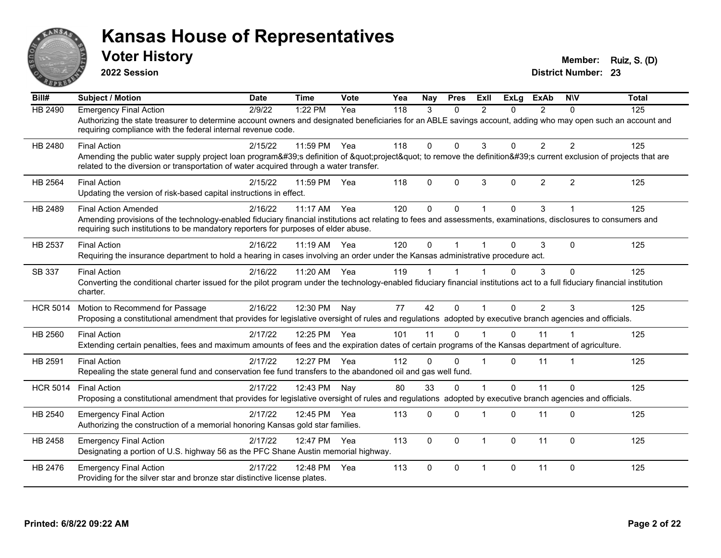

**2022 Session**

**Voter History Member: Ruiz, S. (D)** 

| Bill#           | <b>Subject / Motion</b>                                                                                                                                                                                                                                                              | <b>Date</b> | <b>Time</b> | Vote | Yea | Nay      | <b>Pres</b> | ExII                    | <b>ExLa</b> | <b>ExAb</b>    | <b>NIV</b>     | <b>Total</b> |
|-----------------|--------------------------------------------------------------------------------------------------------------------------------------------------------------------------------------------------------------------------------------------------------------------------------------|-------------|-------------|------|-----|----------|-------------|-------------------------|-------------|----------------|----------------|--------------|
| <b>HB 2490</b>  | <b>Emergency Final Action</b><br>Authorizing the state treasurer to determine account owners and designated beneficiaries for an ABLE savings account, adding who may open such an account and<br>requiring compliance with the federal internal revenue code.                       | 2/9/22      | 1:22 PM     | Yea  | 118 | 3        | $\Omega$    | $\mathcal{P}$           | 0           | $\mathcal{P}$  | $\Omega$       | 125          |
| HB 2480         | <b>Final Action</b><br>Amending the public water supply project loan program's definition of "project" to remove the definition's current exclusion of projects that are<br>related to the diversion or transportation of water acquired through a water transfer.                   | 2/15/22     | 11:59 PM    | Yea  | 118 | $\Omega$ | $\Omega$    | 3                       | 0           | $\overline{2}$ | $\overline{2}$ | 125          |
| <b>HB 2564</b>  | <b>Final Action</b><br>Updating the version of risk-based capital instructions in effect.                                                                                                                                                                                            | 2/15/22     | 11:59 PM    | Yea  | 118 | $\Omega$ | $\Omega$    | 3                       | $\Omega$    | $\overline{2}$ | 2              | 125          |
| HB 2489         | <b>Final Action Amended</b><br>Amending provisions of the technology-enabled fiduciary financial institutions act relating to fees and assessments, examinations, disclosures to consumers and<br>requiring such institutions to be mandatory reporters for purposes of elder abuse. | 2/16/22     | 11:17 AM    | Yea  | 120 | $\Omega$ | $\Omega$    |                         | $\Omega$    | 3              |                | 125          |
| HB 2537         | <b>Final Action</b><br>Requiring the insurance department to hold a hearing in cases involving an order under the Kansas administrative procedure act.                                                                                                                               | 2/16/22     | 11:19 AM    | Yea  | 120 | $\Omega$ |             |                         | $\Omega$    | 3              | $\Omega$       | 125          |
| SB 337          | <b>Final Action</b><br>Converting the conditional charter issued for the pilot program under the technology-enabled fiduciary financial institutions act to a full fiduciary financial institution<br>charter.                                                                       | 2/16/22     | 11:20 AM    | Yea  | 119 |          |             |                         | $\Omega$    | 3              | $\Omega$       | 125          |
| <b>HCR 5014</b> | Motion to Recommend for Passage<br>Proposing a constitutional amendment that provides for legislative oversight of rules and regulations adopted by executive branch agencies and officials.                                                                                         | 2/16/22     | 12:30 PM    | Nay  | 77  | 42       | $\Omega$    | $\overline{1}$          | $\Omega$    | $\overline{2}$ | 3              | 125          |
| HB 2560         | <b>Final Action</b><br>Extending certain penalties, fees and maximum amounts of fees and the expiration dates of certain programs of the Kansas department of agriculture.                                                                                                           | 2/17/22     | 12:25 PM    | Yea  | 101 | 11       | $\Omega$    |                         | $\Omega$    | 11             |                | 125          |
| HB 2591         | <b>Final Action</b><br>Repealing the state general fund and conservation fee fund transfers to the abandoned oil and gas well fund.                                                                                                                                                  | 2/17/22     | 12:27 PM    | Yea  | 112 | $\Omega$ | $\Omega$    |                         | 0           | 11             |                | 125          |
| <b>HCR 5014</b> | <b>Final Action</b><br>Proposing a constitutional amendment that provides for legislative oversight of rules and regulations adopted by executive branch agencies and officials.                                                                                                     | 2/17/22     | 12:43 PM    | Nay  | 80  | 33       | $\Omega$    |                         | $\Omega$    | 11             | $\Omega$       | 125          |
| HB 2540         | <b>Emergency Final Action</b><br>Authorizing the construction of a memorial honoring Kansas gold star families.                                                                                                                                                                      | 2/17/22     | 12:45 PM    | Yea  | 113 | 0        | $\Omega$    |                         | 0           | 11             | $\Omega$       | 125          |
| HB 2458         | <b>Emergency Final Action</b><br>Designating a portion of U.S. highway 56 as the PFC Shane Austin memorial highway.                                                                                                                                                                  | 2/17/22     | 12:47 PM    | Yea  | 113 | $\Omega$ | $\Omega$    | $\overline{1}$          | $\Omega$    | 11             | $\Omega$       | 125          |
| HB 2476         | <b>Emergency Final Action</b><br>Providing for the silver star and bronze star distinctive license plates.                                                                                                                                                                           | 2/17/22     | 12:48 PM    | Yea  | 113 | $\Omega$ | $\Omega$    | $\overline{\mathbf{1}}$ | 0           | 11             | $\Omega$       | 125          |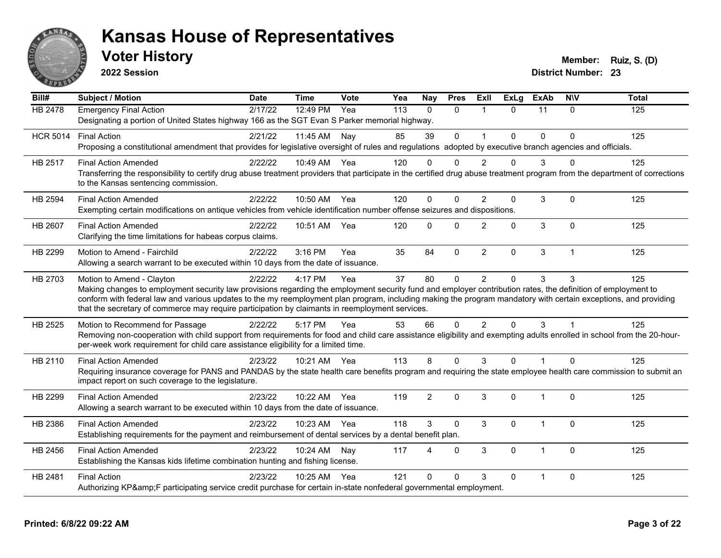

**2022 Session**

**Voter History Member: Ruiz, S. (D)** 

| $\overline{Bill#}$ | <b>Subject / Motion</b>                                                                                                                                                                                                                                                                                                                                                                                                                                         | Date    | <b>Time</b>  | Vote | Yea | <b>Nay</b>  | <b>Pres</b>  | ExII           | <b>ExLg</b> | <b>ExAb</b>    | <b>NIV</b>   | <b>Total</b> |
|--------------------|-----------------------------------------------------------------------------------------------------------------------------------------------------------------------------------------------------------------------------------------------------------------------------------------------------------------------------------------------------------------------------------------------------------------------------------------------------------------|---------|--------------|------|-----|-------------|--------------|----------------|-------------|----------------|--------------|--------------|
| <b>HB 2478</b>     | <b>Emergency Final Action</b><br>Designating a portion of United States highway 166 as the SGT Evan S Parker memorial highway.                                                                                                                                                                                                                                                                                                                                  | 2/17/22 | 12:49 PM     | Yea  | 113 | $\Omega$    | $\Omega$     | $\overline{1}$ | $\Omega$    | 11             | $\Omega$     | 125          |
| <b>HCR 5014</b>    | <b>Final Action</b><br>Proposing a constitutional amendment that provides for legislative oversight of rules and regulations adopted by executive branch agencies and officials.                                                                                                                                                                                                                                                                                | 2/21/22 | 11:45 AM     | Nay  | 85  | 39          | $\Omega$     | $\mathbf{1}$   | $\Omega$    | $\Omega$       | $\Omega$     | 125          |
| HB 2517            | <b>Final Action Amended</b><br>Transferring the responsibility to certify drug abuse treatment providers that participate in the certified drug abuse treatment program from the department of corrections<br>to the Kansas sentencing commission.                                                                                                                                                                                                              | 2/22/22 | 10:49 AM Yea |      | 120 | $\Omega$    | $\Omega$     | $\overline{2}$ | 0           | 3              | ∩            | 125          |
| HB 2594            | <b>Final Action Amended</b><br>Exempting certain modifications on antique vehicles from vehicle identification number offense seizures and dispositions.                                                                                                                                                                                                                                                                                                        | 2/22/22 | 10:50 AM Yea |      | 120 | $\mathbf 0$ | $\mathbf{0}$ | 2              | 0           | 3              | $\mathbf 0$  | 125          |
| HB 2607            | <b>Final Action Amended</b><br>Clarifying the time limitations for habeas corpus claims.                                                                                                                                                                                                                                                                                                                                                                        | 2/22/22 | 10:51 AM     | Yea  | 120 | $\Omega$    | $\mathbf{0}$ | 2              | 0           | 3              | $\mathbf{0}$ | 125          |
| HB 2299            | Motion to Amend - Fairchild<br>Allowing a search warrant to be executed within 10 days from the date of issuance.                                                                                                                                                                                                                                                                                                                                               | 2/22/22 | $3:16$ PM    | Yea  | 35  | 84          | $\mathbf{0}$ | 2              | 0           | 3              | $\mathbf{1}$ | 125          |
| HB 2703            | Motion to Amend - Clayton<br>Making changes to employment security law provisions regarding the employment security fund and employer contribution rates, the definition of employment to<br>conform with federal law and various updates to the my reemployment plan program, including making the program mandatory with certain exceptions, and providing<br>that the secretary of commerce may require participation by claimants in reemployment services. | 2/22/22 | 4:17 PM      | Yea  | 37  | 80          | $\mathbf{0}$ | 2              | $\Omega$    | 3              | 3            | 125          |
| HB 2525            | Motion to Recommend for Passage<br>Removing non-cooperation with child support from requirements for food and child care assistance eligibility and exempting adults enrolled in school from the 20-hour-<br>per-week work requirement for child care assistance eligibility for a limited time.                                                                                                                                                                | 2/22/22 | 5:17 PM      | Yea  | 53  | 66          | $\mathbf 0$  | 2              | 0           | 3              |              | 125          |
| HB 2110            | <b>Final Action Amended</b><br>Requiring insurance coverage for PANS and PANDAS by the state health care benefits program and requiring the state employee health care commission to submit an<br>impact report on such coverage to the legislature.                                                                                                                                                                                                            | 2/23/22 | 10:21 AM Yea |      | 113 | 8           | $\Omega$     | 3              | $\Omega$    |                | $\Omega$     | 125          |
| HB 2299            | <b>Final Action Amended</b><br>Allowing a search warrant to be executed within 10 days from the date of issuance.                                                                                                                                                                                                                                                                                                                                               | 2/23/22 | 10:22 AM     | Yea  | 119 | 2           | $\Omega$     | 3              | $\Omega$    | 1              | $\Omega$     | 125          |
| HB 2386            | <b>Final Action Amended</b><br>Establishing requirements for the payment and reimbursement of dental services by a dental benefit plan.                                                                                                                                                                                                                                                                                                                         | 2/23/22 | 10:23 AM Yea |      | 118 | 3           | $\Omega$     | 3              | $\Omega$    | $\overline{1}$ | $\Omega$     | 125          |
| HB 2456            | <b>Final Action Amended</b><br>Establishing the Kansas kids lifetime combination hunting and fishing license.                                                                                                                                                                                                                                                                                                                                                   | 2/23/22 | 10:24 AM     | Nay  | 117 | 4           | $\Omega$     | 3              | 0           | -1             | $\mathbf{0}$ | 125          |
| HB 2481            | <b>Final Action</b><br>Authorizing KP&F participating service credit purchase for certain in-state nonfederal governmental employment.                                                                                                                                                                                                                                                                                                                          | 2/23/22 | 10:25 AM     | Yea  | 121 | $\Omega$    | $\Omega$     | 3              | $\Omega$    |                | $\Omega$     | 125          |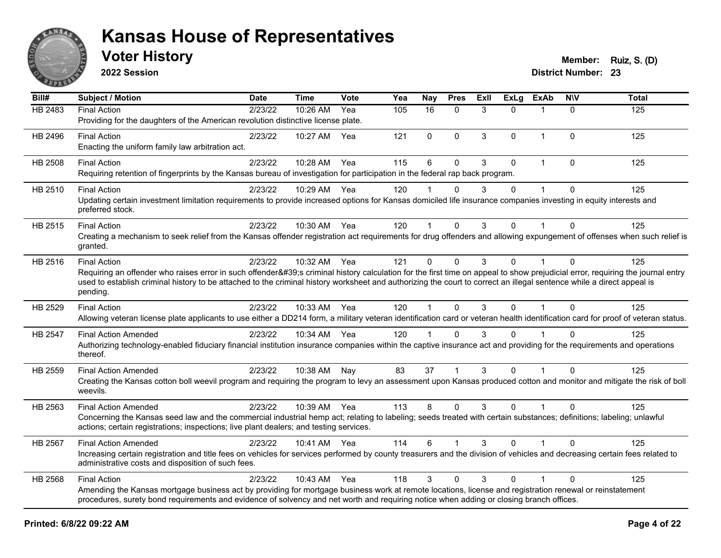

**2022 Session**

**Voter History Member: Ruiz, S. (D)** 

| Bill#   | Subject / Motion                                                                                                                                                                                                                                                                                                                                    | <b>Date</b> | Time         | <b>Vote</b> | Yea | <b>Nay</b>           | <b>Pres</b>  | ExII | <b>ExLg</b> | <b>ExAb</b>  | <b>NIV</b>   | <b>Total</b> |
|---------|-----------------------------------------------------------------------------------------------------------------------------------------------------------------------------------------------------------------------------------------------------------------------------------------------------------------------------------------------------|-------------|--------------|-------------|-----|----------------------|--------------|------|-------------|--------------|--------------|--------------|
| HB 2483 | <b>Final Action</b>                                                                                                                                                                                                                                                                                                                                 | 2/23/22     | 10:26 AM     | Yea         | 105 | 16                   | $\mathbf{0}$ | 3    | $\Omega$    | -1           | $\Omega$     | 125          |
|         | Providing for the daughters of the American revolution distinctive license plate.                                                                                                                                                                                                                                                                   |             |              |             |     |                      |              |      |             |              |              |              |
| HB 2496 | <b>Final Action</b>                                                                                                                                                                                                                                                                                                                                 | 2/23/22     | 10:27 AM     | Yea         | 121 | $\mathbf{0}$         | $\mathbf 0$  | 3    | $\Omega$    | $\mathbf 1$  | $\Omega$     | 125          |
|         | Enacting the uniform family law arbitration act.                                                                                                                                                                                                                                                                                                    |             |              |             |     |                      |              |      |             |              |              |              |
| HB 2508 | <b>Final Action</b>                                                                                                                                                                                                                                                                                                                                 | 2/23/22     | 10:28 AM     | Yea         | 115 | 6                    | $\mathbf{0}$ | 3    | $\Omega$    | $\mathbf{1}$ | $\Omega$     | 125          |
|         | Requiring retention of fingerprints by the Kansas bureau of investigation for participation in the federal rap back program.                                                                                                                                                                                                                        |             |              |             |     |                      |              |      |             |              |              |              |
| HB 2510 | <b>Final Action</b>                                                                                                                                                                                                                                                                                                                                 | 2/23/22     | 10:29 AM Yea |             | 120 |                      | $\Omega$     | 3    | $\Omega$    |              | $\Omega$     | 125          |
|         | Updating certain investment limitation requirements to provide increased options for Kansas domiciled life insurance companies investing in equity interests and                                                                                                                                                                                    |             |              |             |     |                      |              |      |             |              |              |              |
|         | preferred stock.                                                                                                                                                                                                                                                                                                                                    |             |              |             |     |                      |              |      |             |              |              |              |
| HB 2515 | <b>Final Action</b>                                                                                                                                                                                                                                                                                                                                 | 2/23/22     | 10:30 AM Yea |             | 120 | $\blacktriangleleft$ | $\mathbf{0}$ | 3    | $\Omega$    |              | $\Omega$     | 125          |
|         | Creating a mechanism to seek relief from the Kansas offender registration act requirements for drug offenders and allowing expungement of offenses when such relief is                                                                                                                                                                              |             |              |             |     |                      |              |      |             |              |              |              |
|         | granted.                                                                                                                                                                                                                                                                                                                                            |             |              |             |     |                      |              |      |             |              |              |              |
| HB 2516 | <b>Final Action</b>                                                                                                                                                                                                                                                                                                                                 | 2/23/22     | 10:32 AM     | Yea         | 121 | $\mathbf 0$          | $\mathbf 0$  | 3    | $\Omega$    | 1            | $\mathbf{0}$ | 125          |
|         | Requiring an offender who raises error in such offender's criminal history calculation for the first time on appeal to show prejudicial error, requiring the journal entry<br>used to establish criminal history to be attached to the criminal history worksheet and authorizing the court to correct an illegal sentence while a direct appeal is |             |              |             |     |                      |              |      |             |              |              |              |
|         | pending.                                                                                                                                                                                                                                                                                                                                            |             |              |             |     |                      |              |      |             |              |              |              |
| HB 2529 | <b>Final Action</b>                                                                                                                                                                                                                                                                                                                                 | 2/23/22     | 10:33 AM Yea |             | 120 | $\mathbf{1}$         | $\Omega$     | 3    | $\Omega$    | $\mathbf{1}$ | $\Omega$     | 125          |
|         | Allowing veteran license plate applicants to use either a DD214 form, a military veteran identification card or veteran health identification card for proof of veteran status.                                                                                                                                                                     |             |              |             |     |                      |              |      |             |              |              |              |
| HB 2547 | <b>Final Action Amended</b>                                                                                                                                                                                                                                                                                                                         | 2/23/22     | 10:34 AM Yea |             | 120 |                      | $\Omega$     | 3    | 0           |              | $\Omega$     | 125          |
|         | Authorizing technology-enabled fiduciary financial institution insurance companies within the captive insurance act and providing for the requirements and operations                                                                                                                                                                               |             |              |             |     |                      |              |      |             |              |              |              |
|         | thereof.                                                                                                                                                                                                                                                                                                                                            |             |              |             |     |                      |              |      |             |              |              |              |
| HB 2559 | <b>Final Action Amended</b>                                                                                                                                                                                                                                                                                                                         | 2/23/22     | 10:38 AM     | Nay         | 83  | 37                   |              | 3    | $\Omega$    |              | $\Omega$     | 125          |
|         | Creating the Kansas cotton boll weevil program and requiring the program to levy an assessment upon Kansas produced cotton and monitor and mitigate the risk of boll                                                                                                                                                                                |             |              |             |     |                      |              |      |             |              |              |              |
|         | weevils.                                                                                                                                                                                                                                                                                                                                            |             |              |             |     |                      |              |      |             |              |              |              |
| HB 2563 | <b>Final Action Amended</b>                                                                                                                                                                                                                                                                                                                         | 2/23/22     | 10:39 AM Yea |             | 113 | 8                    | $\Omega$     | 3    | $\Omega$    | $\mathbf{1}$ | $\Omega$     | 125          |
|         | Concerning the Kansas seed law and the commercial industrial hemp act; relating to labeling; seeds treated with certain substances; definitions; labeling; unlawful                                                                                                                                                                                 |             |              |             |     |                      |              |      |             |              |              |              |
|         | actions; certain registrations; inspections; live plant dealers; and testing services.                                                                                                                                                                                                                                                              |             |              |             |     |                      |              |      |             |              |              |              |
| HB 2567 | <b>Final Action Amended</b>                                                                                                                                                                                                                                                                                                                         | 2/23/22     | 10:41 AM Yea |             | 114 | 6                    |              | 3    | $\Omega$    |              | $\Omega$     | 125          |
|         | Increasing certain registration and title fees on vehicles for services performed by county treasurers and the division of vehicles and decreasing certain fees related to<br>administrative costs and disposition of such fees.                                                                                                                    |             |              |             |     |                      |              |      |             |              |              |              |
|         |                                                                                                                                                                                                                                                                                                                                                     |             |              |             |     |                      |              |      |             |              |              |              |
| HB 2568 | <b>Final Action</b>                                                                                                                                                                                                                                                                                                                                 | 2/23/22     | 10:43 AM     | Yea         | 118 | 3                    | $\mathbf{0}$ | 3    | $\Omega$    |              | $\Omega$     | 125          |
|         | Amending the Kansas mortgage business act by providing for mortgage business work at remote locations, license and registration renewal or reinstatement<br>procedures, surety bond requirements and evidence of solvency and net worth and requiring notice when adding or closing branch offices.                                                 |             |              |             |     |                      |              |      |             |              |              |              |
|         |                                                                                                                                                                                                                                                                                                                                                     |             |              |             |     |                      |              |      |             |              |              |              |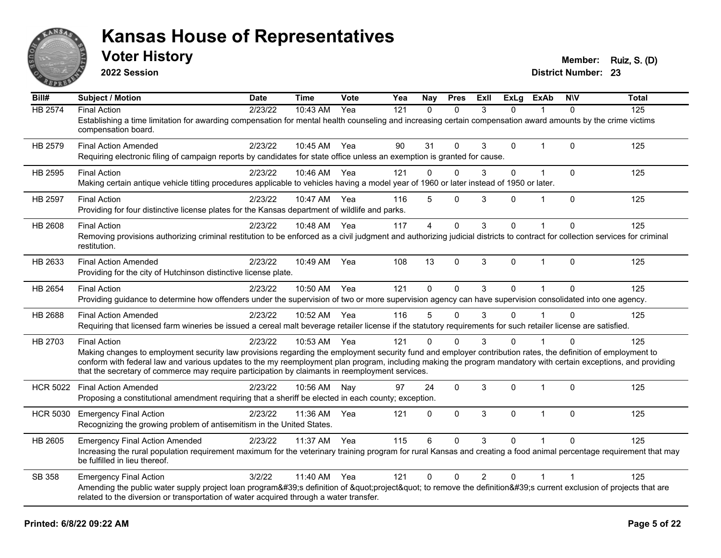

**2022 Session**

**Voter History Member: Ruiz, S. (D)** 

| Bill#           | <b>Subject / Motion</b>                                                                                                                                                                                                                                            | Date    | Time         | Vote | Yea | <b>Nay</b>     | <b>Pres</b>  | ExII           | ExLg     | ExAb           | <b>NIV</b>  | <b>Total</b> |
|-----------------|--------------------------------------------------------------------------------------------------------------------------------------------------------------------------------------------------------------------------------------------------------------------|---------|--------------|------|-----|----------------|--------------|----------------|----------|----------------|-------------|--------------|
| HB 2574         | <b>Final Action</b>                                                                                                                                                                                                                                                | 2/23/22 | 10:43 AM     | Yea  | 121 | $\Omega$       | $\Omega$     | 3              | 0        |                | $\Omega$    | 125          |
|                 | Establishing a time limitation for awarding compensation for mental health counseling and increasing certain compensation award amounts by the crime victims<br>compensation board.                                                                                |         |              |      |     |                |              |                |          |                |             |              |
| HB 2579         | <b>Final Action Amended</b>                                                                                                                                                                                                                                        | 2/23/22 | 10:45 AM Yea |      | 90  | 31             | $\Omega$     | 3              | 0        | $\mathbf{1}$   | $\Omega$    | 125          |
|                 | Requiring electronic filing of campaign reports by candidates for state office unless an exemption is granted for cause.                                                                                                                                           |         |              |      |     |                |              |                |          |                |             |              |
| HB 2595         | <b>Final Action</b>                                                                                                                                                                                                                                                | 2/23/22 | 10:46 AM     | Yea  | 121 | $\Omega$       | $\Omega$     | 3              | 0        | $\overline{1}$ | $\Omega$    | 125          |
|                 | Making certain antique vehicle titling procedures applicable to vehicles having a model year of 1960 or later instead of 1950 or later.                                                                                                                            |         |              |      |     |                |              |                |          |                |             |              |
| HB 2597         | <b>Final Action</b>                                                                                                                                                                                                                                                | 2/23/22 | 10:47 AM Yea |      | 116 | 5              | $\Omega$     | 3              | 0        |                | $\Omega$    | 125          |
|                 | Providing for four distinctive license plates for the Kansas department of wildlife and parks.                                                                                                                                                                     |         |              |      |     |                |              |                |          |                |             |              |
| HB 2608         | <b>Final Action</b>                                                                                                                                                                                                                                                | 2/23/22 | 10:48 AM Yea |      | 117 | $\overline{4}$ | $\Omega$     | 3              | 0        |                | $\Omega$    | 125          |
|                 | Removing provisions authorizing criminal restitution to be enforced as a civil judgment and authorizing judicial districts to contract for collection services for criminal                                                                                        |         |              |      |     |                |              |                |          |                |             |              |
|                 | restitution.                                                                                                                                                                                                                                                       |         |              |      |     |                |              |                |          |                |             |              |
| HB 2633         | <b>Final Action Amended</b>                                                                                                                                                                                                                                        | 2/23/22 | 10:49 AM     | Yea  | 108 | 13             | $\mathbf{0}$ | 3              | $\Omega$ | $\mathbf 1$    | $\Omega$    | 125          |
|                 | Providing for the city of Hutchinson distinctive license plate.                                                                                                                                                                                                    |         |              |      |     |                |              |                |          |                |             |              |
| HB 2654         | <b>Final Action</b>                                                                                                                                                                                                                                                | 2/23/22 | 10:50 AM     | Yea  | 121 | $\Omega$       | $\Omega$     | 3              | $\Omega$ |                | $\Omega$    | 125          |
|                 | Providing guidance to determine how offenders under the supervision of two or more supervision agency can have supervision consolidated into one agency.                                                                                                           |         |              |      |     |                |              |                |          |                |             |              |
| HB 2688         | <b>Final Action Amended</b>                                                                                                                                                                                                                                        | 2/23/22 | 10:52 AM     | Yea  | 116 | 5              | $\Omega$     | 3              | $\Omega$ |                | $\Omega$    | 125          |
|                 | Requiring that licensed farm wineries be issued a cereal malt beverage retailer license if the statutory requirements for such retailer license are satisfied.                                                                                                     |         |              |      |     |                |              |                |          |                |             |              |
| HB 2703         | <b>Final Action</b>                                                                                                                                                                                                                                                | 2/23/22 | 10:53 AM Yea |      | 121 | O              | $\Omega$     | 3              | 0        |                | $\Omega$    | 125          |
|                 | Making changes to employment security law provisions regarding the employment security fund and employer contribution rates, the definition of employment to                                                                                                       |         |              |      |     |                |              |                |          |                |             |              |
|                 | conform with federal law and various updates to the my reemployment plan program, including making the program mandatory with certain exceptions, and providing<br>that the secretary of commerce may require participation by claimants in reemployment services. |         |              |      |     |                |              |                |          |                |             |              |
|                 |                                                                                                                                                                                                                                                                    | 2/23/22 |              |      | 97  | 24             |              |                |          | 1              | $\Omega$    |              |
| <b>HCR 5022</b> | <b>Final Action Amended</b><br>Proposing a constitutional amendment requiring that a sheriff be elected in each county; exception.                                                                                                                                 |         | 10:56 AM     | Nay  |     |                | $\mathbf 0$  | 3              | 0        |                |             | 125          |
|                 |                                                                                                                                                                                                                                                                    |         |              |      |     |                |              |                |          |                |             |              |
| <b>HCR 5030</b> | <b>Emergency Final Action</b><br>Recognizing the growing problem of antisemitism in the United States.                                                                                                                                                             | 2/23/22 | 11:36 AM     | Yea  | 121 | $\mathbf 0$    | $\mathbf 0$  | 3              | 0        | 1              | $\mathbf 0$ | 125          |
|                 |                                                                                                                                                                                                                                                                    |         |              |      |     |                |              |                |          |                |             |              |
| HB 2605         | <b>Emergency Final Action Amended</b>                                                                                                                                                                                                                              | 2/23/22 | 11:37 AM     | Yea  | 115 | 6              | $\Omega$     | 3              | $\Omega$ |                | $\Omega$    | 125          |
|                 | Increasing the rural population requirement maximum for the veterinary training program for rural Kansas and creating a food animal percentage requirement that may<br>be fulfilled in lieu thereof.                                                               |         |              |      |     |                |              |                |          |                |             |              |
| SB 358          | <b>Emergency Final Action</b>                                                                                                                                                                                                                                      | 3/2/22  | 11:40 AM     | Yea  | 121 | $\mathbf{0}$   | $\Omega$     | $\overline{2}$ | $\Omega$ |                |             | 125          |
|                 | Amending the public water supply project loan program's definition of "project" to remove the definition's current exclusion of projects that are                                                                                                                  |         |              |      |     |                |              |                |          |                |             |              |
|                 | related to the diversion or transportation of water acquired through a water transfer.                                                                                                                                                                             |         |              |      |     |                |              |                |          |                |             |              |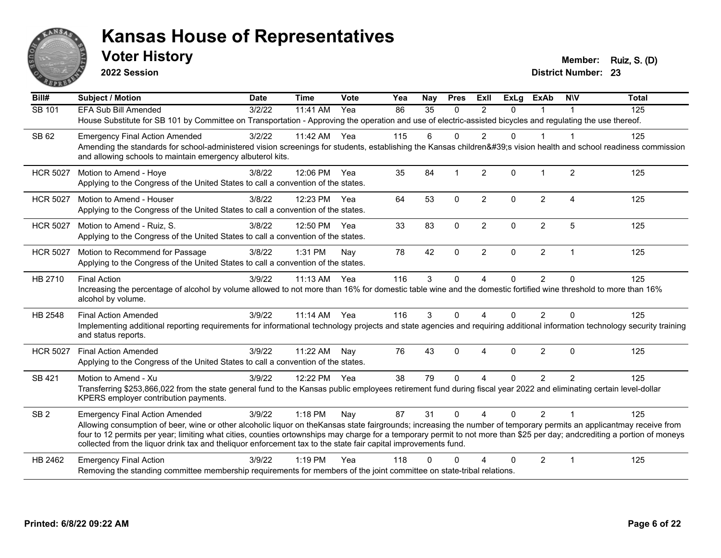

**2022 Session**

**Voter History Member: Ruiz, S. (D)** 

| Bill#           | <b>Subject / Motion</b>                                                                                                                                                                                                                                                                                                                                                                                                                                             | <b>Date</b> | <b>Time</b> | Vote  | $\overline{Y}$ ea | Nay      | <b>Pres</b>  | <b>ExII</b>    | <b>ExLg</b> | <b>ExAb</b>    | <b>NIV</b>     | <b>Total</b> |
|-----------------|---------------------------------------------------------------------------------------------------------------------------------------------------------------------------------------------------------------------------------------------------------------------------------------------------------------------------------------------------------------------------------------------------------------------------------------------------------------------|-------------|-------------|-------|-------------------|----------|--------------|----------------|-------------|----------------|----------------|--------------|
| SB 101          | <b>EFA Sub Bill Amended</b>                                                                                                                                                                                                                                                                                                                                                                                                                                         | 3/2/22      | 11:41 AM    | Yea   | 86                | 35       | $\Omega$     | $\mathcal{P}$  | $\Omega$    |                |                | 125          |
|                 | House Substitute for SB 101 by Committee on Transportation - Approving the operation and use of electric-assisted bicycles and regulating the use thereof.                                                                                                                                                                                                                                                                                                          |             |             |       |                   |          |              |                |             |                |                |              |
| SB 62           | <b>Emergency Final Action Amended</b>                                                                                                                                                                                                                                                                                                                                                                                                                               | 3/2/22      | 11:42 AM    | Yea   | 115               | 6        | $\Omega$     | 2              | 0           |                | -1             | 125          |
|                 | Amending the standards for school-administered vision screenings for students, establishing the Kansas children's vision health and school readiness commission<br>and allowing schools to maintain emergency albuterol kits.                                                                                                                                                                                                                                       |             |             |       |                   |          |              |                |             |                |                |              |
| <b>HCR 5027</b> | Motion to Amend - Hoye                                                                                                                                                                                                                                                                                                                                                                                                                                              | 3/8/22      | 12:06 PM    | Yea   | 35                | 84       | $\mathbf 1$  | 2              | 0           |                | $\overline{2}$ | 125          |
|                 | Applying to the Congress of the United States to call a convention of the states.                                                                                                                                                                                                                                                                                                                                                                                   |             |             |       |                   |          |              |                |             |                |                |              |
| <b>HCR 5027</b> | Motion to Amend - Houser                                                                                                                                                                                                                                                                                                                                                                                                                                            | 3/8/22      | 12:23 PM    | Yea   | 64                | 53       | $\mathbf 0$  | $\overline{2}$ | 0           | $\overline{2}$ | $\overline{4}$ | 125          |
|                 | Applying to the Congress of the United States to call a convention of the states.                                                                                                                                                                                                                                                                                                                                                                                   |             |             |       |                   |          |              |                |             |                |                |              |
| <b>HCR 5027</b> | Motion to Amend - Ruiz, S.                                                                                                                                                                                                                                                                                                                                                                                                                                          | 3/8/22      | 12:50 PM    | - Yea | 33                | 83       | $\mathbf{0}$ | $\overline{2}$ | 0           | $\overline{2}$ | 5              | 125          |
|                 | Applying to the Congress of the United States to call a convention of the states.                                                                                                                                                                                                                                                                                                                                                                                   |             |             |       |                   |          |              |                |             |                |                |              |
| <b>HCR 5027</b> | Motion to Recommend for Passage                                                                                                                                                                                                                                                                                                                                                                                                                                     | 3/8/22      | 1:31 PM     | Nay   | 78                | 42       | $\mathbf{0}$ | $\overline{2}$ | 0           | $\overline{2}$ | 1              | 125          |
|                 | Applying to the Congress of the United States to call a convention of the states.                                                                                                                                                                                                                                                                                                                                                                                   |             |             |       |                   |          |              |                |             |                |                |              |
| HB 2710         | <b>Final Action</b>                                                                                                                                                                                                                                                                                                                                                                                                                                                 | 3/9/22      | 11:13 AM    | Yea   | 116               | 3        | $\mathbf{0}$ | $\overline{4}$ | $\Omega$    | 2              | $\Omega$       | 125          |
|                 | Increasing the percentage of alcohol by volume allowed to not more than 16% for domestic table wine and the domestic fortified wine threshold to more than 16%<br>alcohol by volume.                                                                                                                                                                                                                                                                                |             |             |       |                   |          |              |                |             |                |                |              |
| HB 2548         | <b>Final Action Amended</b>                                                                                                                                                                                                                                                                                                                                                                                                                                         | 3/9/22      | $11:14$ AM  | Yea   | 116               | 3        | $\Omega$     | 4              | $\Omega$    | $\overline{2}$ | $\Omega$       | 125          |
|                 | Implementing additional reporting requirements for informational technology projects and state agencies and requiring additional information technology security training<br>and status reports.                                                                                                                                                                                                                                                                    |             |             |       |                   |          |              |                |             |                |                |              |
| <b>HCR 5027</b> | <b>Final Action Amended</b>                                                                                                                                                                                                                                                                                                                                                                                                                                         | 3/9/22      | 11:22 AM    | Nay   | 76                | 43       | $\mathbf{0}$ | $\overline{4}$ | 0           | $\overline{2}$ | $\mathbf{0}$   | 125          |
|                 | Applying to the Congress of the United States to call a convention of the states.                                                                                                                                                                                                                                                                                                                                                                                   |             |             |       |                   |          |              |                |             |                |                |              |
| SB 421          | Motion to Amend - Xu                                                                                                                                                                                                                                                                                                                                                                                                                                                | 3/9/22      | 12:22 PM    | Yea   | 38                | 79       | $\Omega$     | 4              | $\Omega$    | $\overline{2}$ | $\mathfrak{p}$ | 125          |
|                 | Transferring \$253,866,022 from the state general fund to the Kansas public employees retirement fund during fiscal year 2022 and eliminating certain level-dollar<br>KPERS employer contribution payments.                                                                                                                                                                                                                                                         |             |             |       |                   |          |              |                |             |                |                |              |
| SB <sub>2</sub> | <b>Emergency Final Action Amended</b>                                                                                                                                                                                                                                                                                                                                                                                                                               | 3/9/22      | 1:18 PM     | Nay   | 87                | 31       | $\Omega$     | $\overline{4}$ | $\Omega$    | $\overline{2}$ | $\overline{1}$ | 125          |
|                 | Allowing consumption of beer, wine or other alcoholic liquor on theKansas state fairgrounds; increasing the number of temporary permits an applicantmay receive from<br>four to 12 permits per year; limiting what cities, counties ortownships may charge for a temporary permit to not more than \$25 per day; andcrediting a portion of moneys<br>collected from the liquor drink tax and theliquor enforcement tax to the state fair capital improvements fund. |             |             |       |                   |          |              |                |             |                |                |              |
| HB 2462         | <b>Emergency Final Action</b>                                                                                                                                                                                                                                                                                                                                                                                                                                       | 3/9/22      | $1:19$ PM   | Yea   | 118               | $\Omega$ | ∩            | Δ              | 0           | $\overline{2}$ | $\overline{1}$ | 125          |
|                 | Removing the standing committee membership requirements for members of the joint committee on state-tribal relations.                                                                                                                                                                                                                                                                                                                                               |             |             |       |                   |          |              |                |             |                |                |              |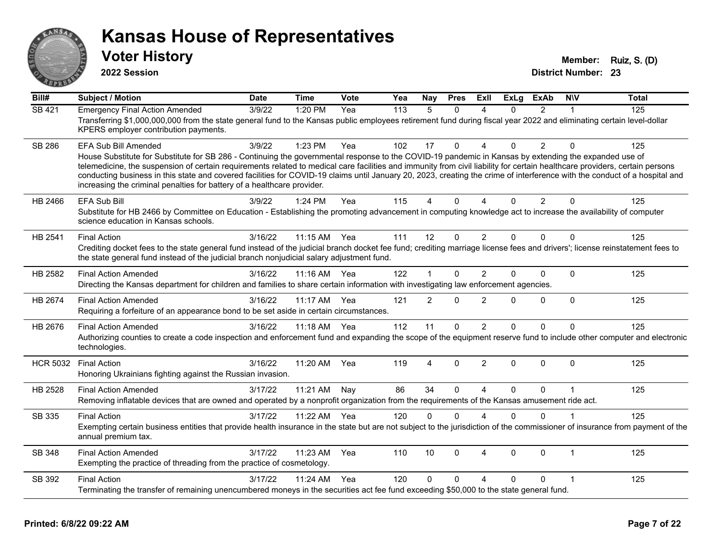

**2022 Session**

**Voter History Member: Ruiz, S. (D)** 

| $\overline{BiII#}$ | <b>Subject / Motion</b>                                                                                                                                                                                                                                                                                                                                                                                                                                                                                                                                                                                                      | <b>Date</b> | <b>Time</b> | <b>Vote</b> | Yea | <b>Nay</b>     | <b>Pres</b>  | ExIl                   | <b>ExLg</b>  | <b>ExAb</b>    | <b>NIV</b>   | <b>Total</b> |
|--------------------|------------------------------------------------------------------------------------------------------------------------------------------------------------------------------------------------------------------------------------------------------------------------------------------------------------------------------------------------------------------------------------------------------------------------------------------------------------------------------------------------------------------------------------------------------------------------------------------------------------------------------|-------------|-------------|-------------|-----|----------------|--------------|------------------------|--------------|----------------|--------------|--------------|
| <b>SB 421</b>      | <b>Emergency Final Action Amended</b><br>Transferring \$1,000,000,000 from the state general fund to the Kansas public employees retirement fund during fiscal year 2022 and eliminating certain level-dollar<br>KPERS employer contribution payments.                                                                                                                                                                                                                                                                                                                                                                       | 3/9/22      | 1:20 PM     | Yea         | 113 | 5              | $\Omega$     | $\boldsymbol{\Lambda}$ | $\Omega$     | $\overline{2}$ | 1            | 125          |
| <b>SB 286</b>      | <b>EFA Sub Bill Amended</b><br>House Substitute for Substitute for SB 286 - Continuing the governmental response to the COVID-19 pandemic in Kansas by extending the expanded use of<br>telemedicine, the suspension of certain requirements related to medical care facilities and immunity from civil liability for certain healthcare providers, certain persons<br>conducting business in this state and covered facilities for COVID-19 claims until January 20, 2023, creating the crime of interference with the conduct of a hospital and<br>increasing the criminal penalties for battery of a healthcare provider. | 3/9/22      | 1:23 PM     | Yea         | 102 | 17             | $\Omega$     |                        | 0            | $\overline{2}$ | $\Omega$     | 125          |
| HB 2466            | <b>EFA Sub Bill</b><br>Substitute for HB 2466 by Committee on Education - Establishing the promoting advancement in computing knowledge act to increase the availability of computer<br>science education in Kansas schools.                                                                                                                                                                                                                                                                                                                                                                                                 | 3/9/22      | 1:24 PM     | Yea         | 115 | 4              | $\mathbf{0}$ | $\Delta$               | $\Omega$     | $\overline{2}$ | $\Omega$     | 125          |
| HB 2541            | <b>Final Action</b><br>Crediting docket fees to the state general fund instead of the judicial branch docket fee fund; crediting marriage license fees and drivers'; license reinstatement fees to<br>the state general fund instead of the judicial branch nonjudicial salary adjustment fund.                                                                                                                                                                                                                                                                                                                              | 3/16/22     | 11:15 AM    | Yea         | 111 | 12             | $\mathbf{0}$ | 2                      | $\Omega$     | $\Omega$       | $\Omega$     | 125          |
| HB 2582            | <b>Final Action Amended</b><br>Directing the Kansas department for children and families to share certain information with investigating law enforcement agencies.                                                                                                                                                                                                                                                                                                                                                                                                                                                           | 3/16/22     | 11:16 AM    | Yea         | 122 | 1              | $\Omega$     | $\overline{2}$         | $\Omega$     | 0              | $\Omega$     | 125          |
| HB 2674            | <b>Final Action Amended</b><br>Requiring a forfeiture of an appearance bond to be set aside in certain circumstances.                                                                                                                                                                                                                                                                                                                                                                                                                                                                                                        | 3/16/22     | 11:17 AM    | Yea         | 121 | $\overline{2}$ | $\mathbf{0}$ | $\overline{2}$         | $\Omega$     | 0              | $\mathbf{0}$ | 125          |
| HB 2676            | <b>Final Action Amended</b><br>Authorizing counties to create a code inspection and enforcement fund and expanding the scope of the equipment reserve fund to include other computer and electronic<br>technologies.                                                                                                                                                                                                                                                                                                                                                                                                         | 3/16/22     | 11:18 AM    | Yea         | 112 | 11             | 0            | $\overline{2}$         | $\Omega$     | 0              | 0            | 125          |
| <b>HCR 5032</b>    | <b>Final Action</b><br>Honoring Ukrainians fighting against the Russian invasion.                                                                                                                                                                                                                                                                                                                                                                                                                                                                                                                                            | 3/16/22     | 11:20 AM    | Yea         | 119 | $\overline{4}$ | 0            | $\overline{2}$         | $\mathbf{0}$ | $\Omega$       | $\Omega$     | 125          |
| HB 2528            | <b>Final Action Amended</b><br>Removing inflatable devices that are owned and operated by a nonprofit organization from the requirements of the Kansas amusement ride act.                                                                                                                                                                                                                                                                                                                                                                                                                                                   | 3/17/22     | 11:21 AM    | Nay         | 86  | 34             | $\Omega$     | $\overline{A}$         | $\Omega$     | 0              | 1            | 125          |
| SB 335             | <b>Final Action</b><br>Exempting certain business entities that provide health insurance in the state but are not subject to the jurisdiction of the commissioner of insurance from payment of the<br>annual premium tax.                                                                                                                                                                                                                                                                                                                                                                                                    | 3/17/22     | 11:22 AM    | Yea         | 120 | $\Omega$       | $\Omega$     | $\Delta$               | $\Omega$     | $\Omega$       |              | 125          |
| <b>SB 348</b>      | <b>Final Action Amended</b><br>Exempting the practice of threading from the practice of cosmetology.                                                                                                                                                                                                                                                                                                                                                                                                                                                                                                                         | 3/17/22     | 11:23 AM    | Yea         | 110 | 10             | $\Omega$     | 4                      | $\Omega$     | $\Omega$       | $\mathbf{1}$ | 125          |
| SB 392             | <b>Final Action</b><br>Terminating the transfer of remaining unencumbered moneys in the securities act fee fund exceeding \$50,000 to the state general fund.                                                                                                                                                                                                                                                                                                                                                                                                                                                                | 3/17/22     | 11:24 AM    | Yea         | 120 | 0              | $\mathbf{0}$ | $\boldsymbol{\Lambda}$ | $\Omega$     | $\Omega$       | 1            | 125          |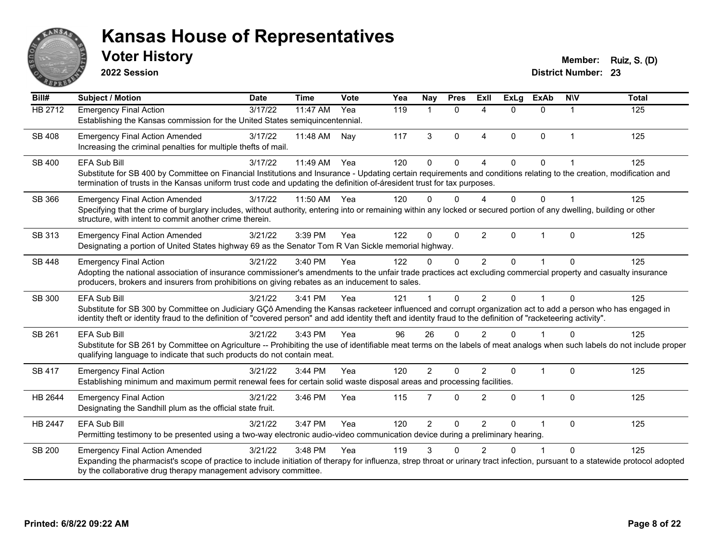

**2022 Session**

**Voter History Member: Ruiz, S. (D)** 

| Bill#          | <b>Subject / Motion</b>                                                                                                                                                                                                                                                                                                        | <b>Date</b> | <b>Time</b> | Vote | Yea | Nay            | <b>Pres</b>    | <b>Exll</b>              | <b>ExLg</b> | <b>ExAb</b>    | <b>NIV</b>     | <b>Total</b> |
|----------------|--------------------------------------------------------------------------------------------------------------------------------------------------------------------------------------------------------------------------------------------------------------------------------------------------------------------------------|-------------|-------------|------|-----|----------------|----------------|--------------------------|-------------|----------------|----------------|--------------|
| <b>HB 2712</b> | <b>Emergency Final Action</b>                                                                                                                                                                                                                                                                                                  | 3/17/22     | 11:47 AM    | Yea  | 119 |                | $\Omega$       | $\boldsymbol{\varDelta}$ | $\Omega$    | $\Omega$       | 1              | 125          |
|                | Establishing the Kansas commission for the United States semiquincentennial.                                                                                                                                                                                                                                                   |             |             |      |     |                |                |                          |             |                |                |              |
| <b>SB 408</b>  | <b>Emergency Final Action Amended</b>                                                                                                                                                                                                                                                                                          | 3/17/22     | 11:48 AM    | Nay  | 117 | 3              | $\Omega$       | $\overline{4}$           | $\Omega$    | $\mathbf{0}$   | $\mathbf{1}$   | 125          |
|                | Increasing the criminal penalties for multiple thefts of mail.                                                                                                                                                                                                                                                                 |             |             |      |     |                |                |                          |             |                |                |              |
| SB 400         | <b>EFA Sub Bill</b>                                                                                                                                                                                                                                                                                                            | 3/17/22     | 11:49 AM    | Yea  | 120 | 0              | $\Omega$       | $\Lambda$                | 0           | $\Omega$       |                | 125          |
|                | Substitute for SB 400 by Committee on Financial Institutions and Insurance - Updating certain requirements and conditions relating to the creation, modification and                                                                                                                                                           |             |             |      |     |                |                |                          |             |                |                |              |
|                | termination of trusts in the Kansas uniform trust code and updating the definition of-áresident trust for tax purposes.                                                                                                                                                                                                        |             |             |      |     |                |                |                          |             |                |                |              |
| SB 366         | <b>Emergency Final Action Amended</b>                                                                                                                                                                                                                                                                                          | 3/17/22     | 11:50 AM    | Yea  | 120 | 0              | $\Omega$       | $\boldsymbol{\Lambda}$   | $\Omega$    | $\Omega$       | $\overline{1}$ | 125          |
|                | Specifying that the crime of burglary includes, without authority, entering into or remaining within any locked or secured portion of any dwelling, building or other                                                                                                                                                          |             |             |      |     |                |                |                          |             |                |                |              |
|                | structure, with intent to commit another crime therein.                                                                                                                                                                                                                                                                        |             |             |      |     |                |                |                          |             |                |                |              |
| SB 313         | <b>Emergency Final Action Amended</b>                                                                                                                                                                                                                                                                                          | 3/21/22     | 3:39 PM     | Yea  | 122 | 0              | $\mathbf 0$    | $\overline{2}$           | $\Omega$    | 1              | $\mathbf{0}$   | 125          |
|                | Designating a portion of United States highway 69 as the Senator Tom R Van Sickle memorial highway.                                                                                                                                                                                                                            |             |             |      |     |                |                |                          |             |                |                |              |
| SB 448         | <b>Emergency Final Action</b>                                                                                                                                                                                                                                                                                                  | 3/21/22     | 3:40 PM     | Yea  | 122 | 0              | $\Omega$       | $\overline{2}$           | $\Omega$    |                | $\Omega$       | 125          |
|                | Adopting the national association of insurance commissioner's amendments to the unfair trade practices act excluding commercial property and casualty insurance<br>producers, brokers and insurers from prohibitions on giving rebates as an inducement to sales.                                                              |             |             |      |     |                |                |                          |             |                |                |              |
|                |                                                                                                                                                                                                                                                                                                                                |             |             |      |     |                |                |                          |             |                |                |              |
| SB 300         | <b>EFA Sub Bill</b>                                                                                                                                                                                                                                                                                                            | 3/21/22     | 3:41 PM     | Yea  | 121 |                | $\Omega$       | $\mathfrak{p}$           | $\Omega$    |                | $\Omega$       | 125          |
|                | Substitute for SB 300 by Committee on Judiciary GÇô Amending the Kansas racketeer influenced and corrupt organization act to add a person who has engaged in<br>identity theft or identity fraud to the definition of "covered person" and add identity theft and identity fraud to the definition of "racketeering activity". |             |             |      |     |                |                |                          |             |                |                |              |
| SB 261         | <b>EFA Sub Bill</b>                                                                                                                                                                                                                                                                                                            | 3/21/22     | 3:43 PM     | Yea  | 96  | 26             | $\Omega$       | 2                        | $\Omega$    |                | $\Omega$       | 125          |
|                | Substitute for SB 261 by Committee on Agriculture -- Prohibiting the use of identifiable meat terms on the labels of meat analogs when such labels do not include proper                                                                                                                                                       |             |             |      |     |                |                |                          |             |                |                |              |
|                | qualifying language to indicate that such products do not contain meat.                                                                                                                                                                                                                                                        |             |             |      |     |                |                |                          |             |                |                |              |
| SB 417         | <b>Emergency Final Action</b>                                                                                                                                                                                                                                                                                                  | 3/21/22     | 3:44 PM     | Yea  | 120 | $\overline{2}$ | $\Omega$       | $\overline{2}$           | $\Omega$    | $\overline{1}$ | $\mathbf 0$    | 125          |
|                | Establishing minimum and maximum permit renewal fees for certain solid waste disposal areas and processing facilities.                                                                                                                                                                                                         |             |             |      |     |                |                |                          |             |                |                |              |
| HB 2644        | <b>Emergency Final Action</b>                                                                                                                                                                                                                                                                                                  | 3/21/22     | 3:46 PM     | Yea  | 115 | 7              | $\Omega$       | 2                        | $\Omega$    | $\mathbf{1}$   | $\Omega$       | 125          |
|                | Designating the Sandhill plum as the official state fruit.                                                                                                                                                                                                                                                                     |             |             |      |     |                |                |                          |             |                |                |              |
| HB 2447        | <b>EFA Sub Bill</b>                                                                                                                                                                                                                                                                                                            | 3/21/22     | 3:47 PM     | Yea  | 120 | $\overline{2}$ | $\overline{0}$ | $\overline{2}$           | 0           |                | $\Omega$       | 125          |
|                | Permitting testimony to be presented using a two-way electronic audio-video communication device during a preliminary hearing.                                                                                                                                                                                                 |             |             |      |     |                |                |                          |             |                |                |              |
| <b>SB 200</b>  | <b>Emergency Final Action Amended</b>                                                                                                                                                                                                                                                                                          | 3/21/22     | 3:48 PM     | Yea  | 119 | 3              | ∩              | 2                        | U           |                | $\Omega$       | 125          |
|                | Expanding the pharmacist's scope of practice to include initiation of therapy for influenza, strep throat or urinary tract infection, pursuant to a statewide protocol adopted                                                                                                                                                 |             |             |      |     |                |                |                          |             |                |                |              |
|                | by the collaborative drug therapy management advisory committee.                                                                                                                                                                                                                                                               |             |             |      |     |                |                |                          |             |                |                |              |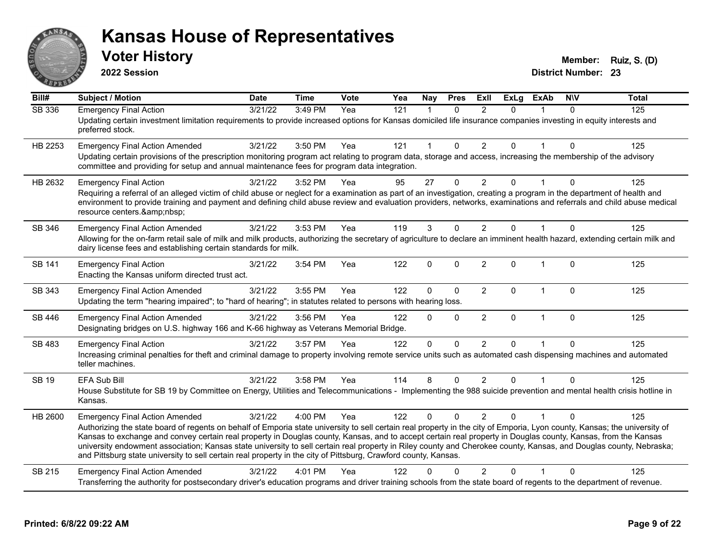

**2022 Session**

| Bill#         | <b>Subject / Motion</b>                                                                                                                                                                                                                                                                                                                                          | <b>Date</b> | <b>Time</b> | Vote | Yea | Nay          | <b>Pres</b> | <b>ExII</b>    | <b>ExLg</b>  | <b>ExAb</b>             | <b>NIV</b> | <b>Total</b> |
|---------------|------------------------------------------------------------------------------------------------------------------------------------------------------------------------------------------------------------------------------------------------------------------------------------------------------------------------------------------------------------------|-------------|-------------|------|-----|--------------|-------------|----------------|--------------|-------------------------|------------|--------------|
| SB 336        | <b>Emergency Final Action</b>                                                                                                                                                                                                                                                                                                                                    | 3/21/22     | 3:49 PM     | Yea  | 121 | $\mathbf 1$  | $\Omega$    | $\overline{2}$ | $\Omega$     |                         | $\Omega$   | 125          |
|               | Updating certain investment limitation requirements to provide increased options for Kansas domiciled life insurance companies investing in equity interests and<br>preferred stock.                                                                                                                                                                             |             |             |      |     |              |             |                |              |                         |            |              |
| HB 2253       | <b>Emergency Final Action Amended</b>                                                                                                                                                                                                                                                                                                                            | 3/21/22     | 3:50 PM     | Yea  | 121 | 1            | $\Omega$    | $\overline{2}$ | $\Omega$     | 1                       | $\Omega$   | 125          |
|               | Updating certain provisions of the prescription monitoring program act relating to program data, storage and access, increasing the membership of the advisory<br>committee and providing for setup and annual maintenance fees for program data integration.                                                                                                    |             |             |      |     |              |             |                |              |                         |            |              |
| HB 2632       | <b>Emergency Final Action</b>                                                                                                                                                                                                                                                                                                                                    | 3/21/22     | 3:52 PM     | Yea  | 95  | 27           | $\Omega$    | $\overline{2}$ | $\mathbf{0}$ |                         | 0          | 125          |
|               | Requiring a referral of an alleged victim of child abuse or neglect for a examination as part of an investigation, creating a program in the department of health and<br>environment to provide training and payment and defining child abuse review and evaluation providers, networks, examinations and referrals and child abuse medical<br>resource centers. |             |             |      |     |              |             |                |              |                         |            |              |
| SB 346        | <b>Emergency Final Action Amended</b>                                                                                                                                                                                                                                                                                                                            | 3/21/22     | 3:53 PM     | Yea  | 119 | 3            | $\Omega$    | $\overline{2}$ | $\Omega$     |                         | 0          | 125          |
|               | Allowing for the on-farm retail sale of milk and milk products, authorizing the secretary of agriculture to declare an imminent health hazard, extending certain milk and<br>dairy license fees and establishing certain standards for milk.                                                                                                                     |             |             |      |     |              |             |                |              |                         |            |              |
| <b>SB 141</b> | <b>Emergency Final Action</b><br>Enacting the Kansas uniform directed trust act.                                                                                                                                                                                                                                                                                 | 3/21/22     | 3:54 PM     | Yea  | 122 | $\mathbf{0}$ | $\Omega$    | $\overline{2}$ | $\Omega$     | $\overline{1}$          | $\Omega$   | 125          |
| SB 343        | <b>Emergency Final Action Amended</b>                                                                                                                                                                                                                                                                                                                            | 3/21/22     | 3:55 PM     | Yea  | 122 | $\mathbf{0}$ | $\mathbf 0$ | $\overline{2}$ | 0            | $\overline{\mathbf{1}}$ | $\Omega$   | 125          |
|               | Updating the term "hearing impaired"; to "hard of hearing"; in statutes related to persons with hearing loss.                                                                                                                                                                                                                                                    |             |             |      |     |              |             |                |              |                         |            |              |
| SB 446        | <b>Emergency Final Action Amended</b>                                                                                                                                                                                                                                                                                                                            | 3/21/22     | $3:56$ PM   | Yea  | 122 | $\Omega$     | $\Omega$    | $\overline{2}$ | $\Omega$     | $\mathbf{1}$            | $\Omega$   | 125          |
|               | Designating bridges on U.S. highway 166 and K-66 highway as Veterans Memorial Bridge.                                                                                                                                                                                                                                                                            |             |             |      |     |              |             |                |              |                         |            |              |
| SB 483        | <b>Emergency Final Action</b>                                                                                                                                                                                                                                                                                                                                    | 3/21/22     | 3:57 PM     | Yea  | 122 | $\Omega$     | $\Omega$    | $\overline{2}$ | $\Omega$     |                         | 0          | 125          |
|               | Increasing criminal penalties for theft and criminal damage to property involving remote service units such as automated cash dispensing machines and automated<br>teller machines.                                                                                                                                                                              |             |             |      |     |              |             |                |              |                         |            |              |
| <b>SB 19</b>  | <b>EFA Sub Bill</b>                                                                                                                                                                                                                                                                                                                                              | 3/21/22     | 3:58 PM     | Yea  | 114 | 8            | $\Omega$    | $\overline{2}$ | $\Omega$     |                         | $\Omega$   | 125          |
|               | House Substitute for SB 19 by Committee on Energy, Utilities and Telecommunications - Implementing the 988 suicide prevention and mental health crisis hotline in<br>Kansas.                                                                                                                                                                                     |             |             |      |     |              |             |                |              |                         |            |              |
| HB 2600       | <b>Emergency Final Action Amended</b>                                                                                                                                                                                                                                                                                                                            | 3/21/22     | 4:00 PM     | Yea  | 122 | $\Omega$     | $\Omega$    | $\mathcal{P}$  | $\Omega$     |                         |            | 125          |
|               | Authorizing the state board of regents on behalf of Emporia state university to sell certain real property in the city of Emporia, Lyon county, Kansas; the university of<br>Kansas to exchange and convey certain real property in Douglas county, Kansas, and to accept certain real property in Douglas county, Kansas, from the Kansas                       |             |             |      |     |              |             |                |              |                         |            |              |
|               | university endowment association; Kansas state university to sell certain real property in Riley county and Cherokee county, Kansas, and Douglas county, Nebraska;<br>and Pittsburg state university to sell certain real property in the city of Pittsburg, Crawford county, Kansas.                                                                            |             |             |      |     |              |             |                |              |                         |            |              |
| SB 215        | <b>Emergency Final Action Amended</b>                                                                                                                                                                                                                                                                                                                            | 3/21/22     | 4:01 PM     | Yea  | 122 | ∩            |             | 2              | O            |                         |            | 125          |
|               | Transferring the authority for postsecondary driver's education programs and driver training schools from the state board of regents to the department of revenue.                                                                                                                                                                                               |             |             |      |     |              |             |                |              |                         |            |              |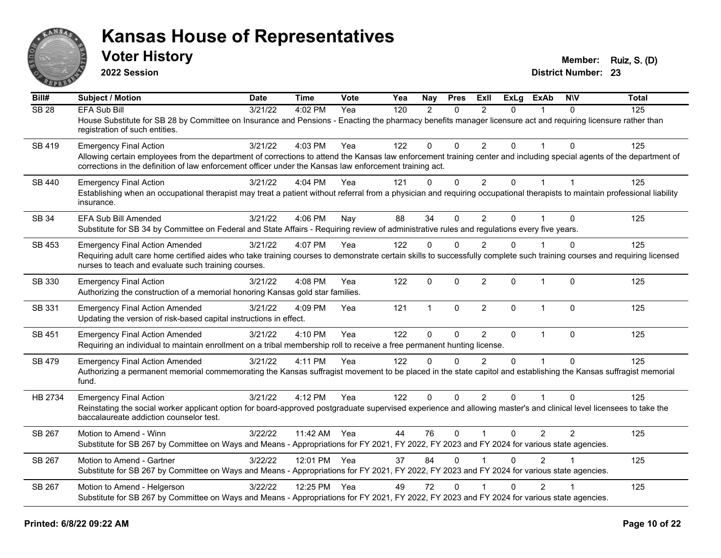

**2022 Session**

**Voter History Member: Ruiz, S. (D)** 

| Bill#            | <b>Subject / Motion</b>                                                                                                                                                                                                                                                         | <b>Date</b> | <b>Time</b>  | <b>Vote</b> | Yea | <b>Nay</b>    | <b>Pres</b>  | ExII           | <b>ExLg</b>    | <b>ExAb</b>    | <b>NIV</b>     | Total |
|------------------|---------------------------------------------------------------------------------------------------------------------------------------------------------------------------------------------------------------------------------------------------------------------------------|-------------|--------------|-------------|-----|---------------|--------------|----------------|----------------|----------------|----------------|-------|
| SB <sub>28</sub> | <b>EFA Sub Bill</b>                                                                                                                                                                                                                                                             | 3/21/22     | 4:02 PM      | Yea         | 120 | $\mathcal{P}$ | $\Omega$     | $\mathcal{P}$  | $\Omega$       |                | $\Omega$       | 125   |
|                  | House Substitute for SB 28 by Committee on Insurance and Pensions - Enacting the pharmacy benefits manager licensure act and requiring licensure rather than<br>registration of such entities.                                                                                  |             |              |             |     |               |              |                |                |                |                |       |
| SB 419           | <b>Emergency Final Action</b>                                                                                                                                                                                                                                                   | 3/21/22     | 4:03 PM      | Yea         | 122 | 0             | $\mathbf{0}$ | $\overline{2}$ | $\Omega$       |                | $\Omega$       | 125   |
|                  | Allowing certain employees from the department of corrections to attend the Kansas law enforcement training center and including special agents of the department of<br>corrections in the definition of law enforcement officer under the Kansas law enforcement training act. |             |              |             |     |               |              |                |                |                |                |       |
| <b>SB 440</b>    | <b>Emergency Final Action</b>                                                                                                                                                                                                                                                   | 3/21/22     | 4:04 PM      | Yea         | 121 | $\Omega$      | $\mathbf 0$  | $\overline{2}$ | $\overline{0}$ | $\mathbf{1}$   | $\mathbf{1}$   | 125   |
|                  | Establishing when an occupational therapist may treat a patient without referral from a physician and requiring occupational therapists to maintain professional liability<br>insurance.                                                                                        |             |              |             |     |               |              |                |                |                |                |       |
| SB 34            | <b>EFA Sub Bill Amended</b>                                                                                                                                                                                                                                                     | 3/21/22     | 4:06 PM      | Nay         | 88  | 34            | $\Omega$     | $\overline{2}$ | $\Omega$       |                | $\Omega$       | 125   |
|                  | Substitute for SB 34 by Committee on Federal and State Affairs - Requiring review of administrative rules and regulations every five years.                                                                                                                                     |             |              |             |     |               |              |                |                |                |                |       |
| <b>SB 453</b>    | <b>Emergency Final Action Amended</b>                                                                                                                                                                                                                                           | 3/21/22     | 4:07 PM      | Yea         | 122 | $\Omega$      | $\mathbf{0}$ | $\overline{2}$ | $\Omega$       |                | $\Omega$       | 125   |
|                  | Requiring adult care home certified aides who take training courses to demonstrate certain skills to successfully complete such training courses and requiring licensed<br>nurses to teach and evaluate such training courses.                                                  |             |              |             |     |               |              |                |                |                |                |       |
| SB 330           | <b>Emergency Final Action</b><br>Authorizing the construction of a memorial honoring Kansas gold star families.                                                                                                                                                                 | 3/21/22     | 4:08 PM      | Yea         | 122 | $\mathbf{0}$  | $\mathbf{0}$ | $\overline{2}$ | $\mathbf{0}$   | $\mathbf{1}$   | $\Omega$       | 125   |
| SB 331           | <b>Emergency Final Action Amended</b><br>Updating the version of risk-based capital instructions in effect.                                                                                                                                                                     | 3/21/22     | 4:09 PM      | Yea         | 121 | $\mathbf{1}$  | $\mathbf{0}$ | $\overline{2}$ | 0              | $\mathbf 1$    | $\Omega$       | 125   |
| SB 451           | <b>Emergency Final Action Amended</b>                                                                                                                                                                                                                                           | 3/21/22     | 4:10 PM      | Yea         | 122 | $\mathbf 0$   | $\mathbf 0$  | $\overline{2}$ | $\mathbf{0}$   | $\mathbf{1}$   | $\Omega$       | 125   |
|                  | Requiring an individual to maintain enrollment on a tribal membership roll to receive a free permanent hunting license.                                                                                                                                                         |             |              |             |     |               |              |                |                |                |                |       |
| SB 479           | <b>Emergency Final Action Amended</b>                                                                                                                                                                                                                                           | 3/21/22     | 4:11 PM      | Yea         | 122 | $\Omega$      | $\Omega$     | $\overline{2}$ | $\Omega$       |                | $\Omega$       | 125   |
|                  | Authorizing a permanent memorial commemorating the Kansas suffragist movement to be placed in the state capitol and establishing the Kansas suffragist memorial<br>fund.                                                                                                        |             |              |             |     |               |              |                |                |                |                |       |
| HB 2734          | <b>Emergency Final Action</b>                                                                                                                                                                                                                                                   | 3/21/22     | 4:12 PM      | Yea         | 122 | $\Omega$      | $\Omega$     | $\overline{2}$ | $\Omega$       |                | $\Omega$       | 125   |
|                  | Reinstating the social worker applicant option for board-approved postgraduate supervised experience and allowing master's and clinical level licensees to take the<br>baccalaureate addiction counselor test.                                                                  |             |              |             |     |               |              |                |                |                |                |       |
| SB 267           | Motion to Amend - Winn                                                                                                                                                                                                                                                          | 3/22/22     | 11:42 AM Yea |             | 44  | 76            | $\mathbf{0}$ | $\mathbf{1}$   | 0              | 2              | $\overline{2}$ | 125   |
|                  | Substitute for SB 267 by Committee on Ways and Means - Appropriations for FY 2021, FY 2022, FY 2023 and FY 2024 for various state agencies.                                                                                                                                     |             |              |             |     |               |              |                |                |                |                |       |
| SB 267           | Motion to Amend - Gartner                                                                                                                                                                                                                                                       | 3/22/22     | 12:01 PM Yea |             | 37  | 84            | $\Omega$     |                | $\Omega$       | 2              |                | 125   |
|                  | Substitute for SB 267 by Committee on Ways and Means - Appropriations for FY 2021, FY 2022, FY 2023 and FY 2024 for various state agencies.                                                                                                                                     |             |              |             |     |               |              |                |                |                |                |       |
| SB 267           | Motion to Amend - Helgerson                                                                                                                                                                                                                                                     | 3/22/22     | 12:25 PM Yea |             | 49  | 72            | $\Omega$     |                | $\Omega$       | $\overline{2}$ |                | 125   |
|                  | Substitute for SB 267 by Committee on Ways and Means - Appropriations for FY 2021, FY 2022, FY 2023 and FY 2024 for various state agencies.                                                                                                                                     |             |              |             |     |               |              |                |                |                |                |       |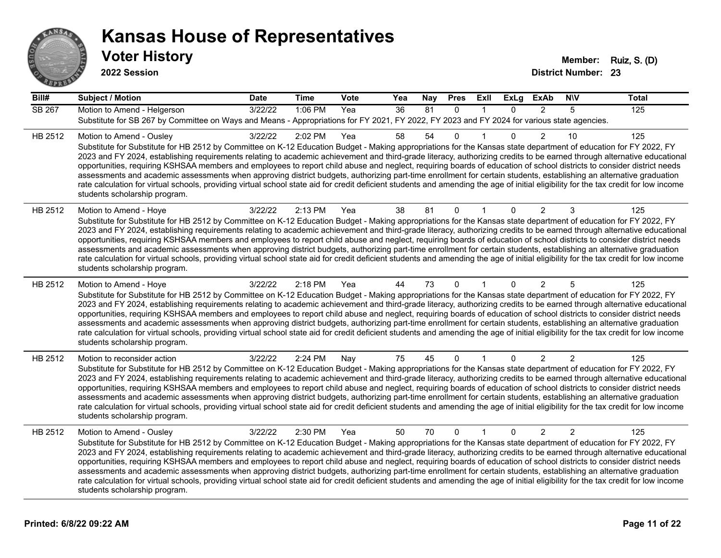

**Voter History Member: Ruiz, S. (D) 2022 Session**

| Bill#         | <b>Subject / Motion</b>                                                                                                                                                                                                                                                                                                                                                                                                                                                                                                                                                                                                                                                                                                                                                                                                                                                                                                                             | <b>Date</b> | <b>Time</b> | <b>Vote</b> | Yea | <b>Nay</b> | <b>Pres</b>  | ExII         | <b>ExLg</b> | <b>ExAb</b>    | <b>NIV</b>     | <b>Total</b> |
|---------------|-----------------------------------------------------------------------------------------------------------------------------------------------------------------------------------------------------------------------------------------------------------------------------------------------------------------------------------------------------------------------------------------------------------------------------------------------------------------------------------------------------------------------------------------------------------------------------------------------------------------------------------------------------------------------------------------------------------------------------------------------------------------------------------------------------------------------------------------------------------------------------------------------------------------------------------------------------|-------------|-------------|-------------|-----|------------|--------------|--------------|-------------|----------------|----------------|--------------|
| <b>SB 267</b> | Motion to Amend - Helgerson                                                                                                                                                                                                                                                                                                                                                                                                                                                                                                                                                                                                                                                                                                                                                                                                                                                                                                                         | 3/22/22     | 1:06 PM     | Yea         | 36  | 81         | $\mathbf{0}$ | 1            | $\Omega$    | 2              | 5              | 125          |
|               | Substitute for SB 267 by Committee on Ways and Means - Appropriations for FY 2021, FY 2022, FY 2023 and FY 2024 for various state agencies.                                                                                                                                                                                                                                                                                                                                                                                                                                                                                                                                                                                                                                                                                                                                                                                                         |             |             |             |     |            |              |              |             |                |                |              |
| HB 2512       | Motion to Amend - Ousley<br>Substitute for Substitute for HB 2512 by Committee on K-12 Education Budget - Making appropriations for the Kansas state department of education for FY 2022, FY<br>2023 and FY 2024, establishing requirements relating to academic achievement and third-grade literacy, authorizing credits to be earned through alternative educational<br>opportunities, requiring KSHSAA members and employees to report child abuse and neglect, requiring boards of education of school districts to consider district needs<br>assessments and academic assessments when approving district budgets, authorizing part-time enrollment for certain students, establishing an alternative graduation<br>rate calculation for virtual schools, providing virtual school state aid for credit deficient students and amending the age of initial eligibility for the tax credit for low income<br>students scholarship program.    | 3/22/22     | 2:02 PM     | Yea         | 58  | 54         | $\Omega$     |              | 0           | $\overline{2}$ | 10             | 125          |
| HB 2512       | Motion to Amend - Hoye<br>Substitute for Substitute for HB 2512 by Committee on K-12 Education Budget - Making appropriations for the Kansas state department of education for FY 2022, FY<br>2023 and FY 2024, establishing requirements relating to academic achievement and third-grade literacy, authorizing credits to be earned through alternative educational<br>opportunities, requiring KSHSAA members and employees to report child abuse and neglect, requiring boards of education of school districts to consider district needs<br>assessments and academic assessments when approving district budgets, authorizing part-time enrollment for certain students, establishing an alternative graduation<br>rate calculation for virtual schools, providing virtual school state aid for credit deficient students and amending the age of initial eligibility for the tax credit for low income<br>students scholarship program.      | 3/22/22     | 2:13 PM     | Yea         | 38  | 81         | $\mathbf 0$  |              | 0           | 2              | 3              | 125          |
| HB 2512       | Motion to Amend - Hoye<br>Substitute for Substitute for HB 2512 by Committee on K-12 Education Budget - Making appropriations for the Kansas state department of education for FY 2022, FY<br>2023 and FY 2024, establishing requirements relating to academic achievement and third-grade literacy, authorizing credits to be earned through alternative educational<br>opportunities, requiring KSHSAA members and employees to report child abuse and neglect, requiring boards of education of school districts to consider district needs<br>assessments and academic assessments when approving district budgets, authorizing part-time enrollment for certain students, establishing an alternative graduation<br>rate calculation for virtual schools, providing virtual school state aid for credit deficient students and amending the age of initial eligibility for the tax credit for low income<br>students scholarship program.      | 3/22/22     | 2:18 PM     | Yea         | 44  | 73         | $\Omega$     |              | 0           | 2              | 5              | 125          |
| HB 2512       | Motion to reconsider action<br>Substitute for Substitute for HB 2512 by Committee on K-12 Education Budget - Making appropriations for the Kansas state department of education for FY 2022, FY<br>2023 and FY 2024, establishing requirements relating to academic achievement and third-grade literacy, authorizing credits to be earned through alternative educational<br>opportunities, requiring KSHSAA members and employees to report child abuse and neglect, requiring boards of education of school districts to consider district needs<br>assessments and academic assessments when approving district budgets, authorizing part-time enrollment for certain students, establishing an alternative graduation<br>rate calculation for virtual schools, providing virtual school state aid for credit deficient students and amending the age of initial eligibility for the tax credit for low income<br>students scholarship program. | 3/22/22     | 2:24 PM     | Nay         | 75  | 45         | $\mathbf 0$  | $\mathbf{1}$ | $\Omega$    | $\overline{2}$ | $\overline{2}$ | 125          |
| HB 2512       | Motion to Amend - Ousley<br>Substitute for Substitute for HB 2512 by Committee on K-12 Education Budget - Making appropriations for the Kansas state department of education for FY 2022, FY<br>2023 and FY 2024, establishing requirements relating to academic achievement and third-grade literacy, authorizing credits to be earned through alternative educational<br>opportunities, requiring KSHSAA members and employees to report child abuse and neglect, requiring boards of education of school districts to consider district needs<br>assessments and academic assessments when approving district budgets, authorizing part-time enrollment for certain students, establishing an alternative graduation<br>rate calculation for virtual schools, providing virtual school state aid for credit deficient students and amending the age of initial eligibility for the tax credit for low income<br>students scholarship program.    | 3/22/22     | 2:30 PM     | Yea         | 50  | 70         | $\mathbf{0}$ | 1            | 0           | 2              | $\overline{2}$ | 125          |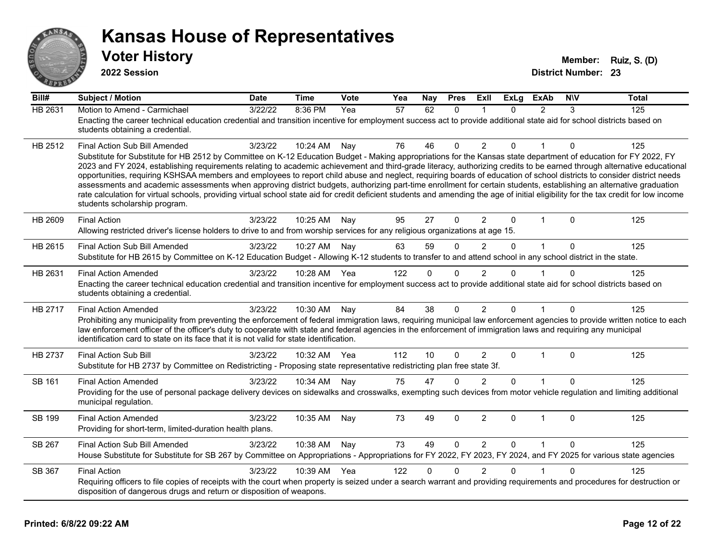

**2022 Session**

| Bill#          | <b>Subject / Motion</b>                                                                                                                                                                                                                                                                                                                                                                                                                                                                                                                                                                                                                                                                                                                                                                                                                                                                                                                               | <b>Date</b> | <b>Time</b> | Vote | Yea | Nay          | <b>Pres</b>  | Exll           | <b>ExLg</b>  | <b>ExAb</b>   | <b>NIV</b>   | <b>Total</b> |
|----------------|-------------------------------------------------------------------------------------------------------------------------------------------------------------------------------------------------------------------------------------------------------------------------------------------------------------------------------------------------------------------------------------------------------------------------------------------------------------------------------------------------------------------------------------------------------------------------------------------------------------------------------------------------------------------------------------------------------------------------------------------------------------------------------------------------------------------------------------------------------------------------------------------------------------------------------------------------------|-------------|-------------|------|-----|--------------|--------------|----------------|--------------|---------------|--------------|--------------|
| <b>HB 2631</b> | Motion to Amend - Carmichael<br>Enacting the career technical education credential and transition incentive for employment success act to provide additional state aid for school districts based on<br>students obtaining a credential.                                                                                                                                                                                                                                                                                                                                                                                                                                                                                                                                                                                                                                                                                                              | 3/22/22     | 8:36 PM     | Yea  | 57  | 62           | $\Omega$     |                | $\Omega$     | $\mathcal{P}$ | 3            | 125          |
| HB 2512        | Final Action Sub Bill Amended<br>Substitute for Substitute for HB 2512 by Committee on K-12 Education Budget - Making appropriations for the Kansas state department of education for FY 2022, FY<br>2023 and FY 2024, establishing requirements relating to academic achievement and third-grade literacy, authorizing credits to be earned through alternative educational<br>opportunities, requiring KSHSAA members and employees to report child abuse and neglect, requiring boards of education of school districts to consider district needs<br>assessments and academic assessments when approving district budgets, authorizing part-time enrollment for certain students, establishing an alternative graduation<br>rate calculation for virtual schools, providing virtual school state aid for credit deficient students and amending the age of initial eligibility for the tax credit for low income<br>students scholarship program. | 3/23/22     | 10:24 AM    | Nay  | 76  | 46           | $\Omega$     | $\overline{2}$ | 0            |               | $\mathbf{0}$ | 125          |
| HB 2609        | <b>Final Action</b><br>Allowing restricted driver's license holders to drive to and from worship services for any religious organizations at age 15.                                                                                                                                                                                                                                                                                                                                                                                                                                                                                                                                                                                                                                                                                                                                                                                                  | 3/23/22     | 10:25 AM    | Nay  | 95  | 27           | $\Omega$     | $\overline{2}$ | $\Omega$     | 1             | $\Omega$     | 125          |
| HB 2615        | Final Action Sub Bill Amended<br>Substitute for HB 2615 by Committee on K-12 Education Budget - Allowing K-12 students to transfer to and attend school in any school district in the state.                                                                                                                                                                                                                                                                                                                                                                                                                                                                                                                                                                                                                                                                                                                                                          | 3/23/22     | 10:27 AM    | Nay  | 63  | 59           | $\mathbf{0}$ | $\overline{2}$ | $\Omega$     | $\mathbf{1}$  | $\Omega$     | 125          |
| HB 2631        | <b>Final Action Amended</b><br>Enacting the career technical education credential and transition incentive for employment success act to provide additional state aid for school districts based on<br>students obtaining a credential.                                                                                                                                                                                                                                                                                                                                                                                                                                                                                                                                                                                                                                                                                                               | 3/23/22     | 10:28 AM    | Yea  | 122 | 0            | $\mathbf 0$  | $\overline{2}$ | 0            |               | $\Omega$     | 125          |
| HB 2717        | <b>Final Action Amended</b><br>Prohibiting any municipality from preventing the enforcement of federal immigration laws, requiring municipal law enforcement agencies to provide written notice to each<br>law enforcement officer of the officer's duty to cooperate with state and federal agencies in the enforcement of immigration laws and requiring any municipal<br>identification card to state on its face that it is not valid for state identification.                                                                                                                                                                                                                                                                                                                                                                                                                                                                                   | 3/23/22     | 10:30 AM    | Nay  | 84  | 38           | $\Omega$     | $\overline{2}$ | $\Omega$     |               | $\Omega$     | 125          |
| HB 2737        | Final Action Sub Bill<br>Substitute for HB 2737 by Committee on Redistricting - Proposing state representative redistricting plan free state 3f.                                                                                                                                                                                                                                                                                                                                                                                                                                                                                                                                                                                                                                                                                                                                                                                                      | 3/23/22     | 10:32 AM    | Yea  | 112 | 10           | $\Omega$     | 2              | $\Omega$     | $\mathbf 1$   | $\Omega$     | 125          |
| SB 161         | <b>Final Action Amended</b><br>Providing for the use of personal package delivery devices on sidewalks and crosswalks, exempting such devices from motor vehicle regulation and limiting additional<br>municipal regulation.                                                                                                                                                                                                                                                                                                                                                                                                                                                                                                                                                                                                                                                                                                                          | 3/23/22     | 10:34 AM    | Nay  | 75  | 47           | 0            | $\overline{2}$ | $\Omega$     |               | $\Omega$     | 125          |
| <b>SB 199</b>  | <b>Final Action Amended</b><br>Providing for short-term, limited-duration health plans.                                                                                                                                                                                                                                                                                                                                                                                                                                                                                                                                                                                                                                                                                                                                                                                                                                                               | 3/23/22     | 10:35 AM    | Nay  | 73  | 49           | $\Omega$     | $\overline{2}$ | $\mathbf{0}$ | $\mathbf{1}$  | $\Omega$     | 125          |
| SB 267         | Final Action Sub Bill Amended<br>House Substitute for Substitute for SB 267 by Committee on Appropriations - Appropriations for FY 2022, FY 2023, FY 2024, and FY 2025 for various state agencies                                                                                                                                                                                                                                                                                                                                                                                                                                                                                                                                                                                                                                                                                                                                                     | 3/23/22     | 10:38 AM    | Nay  | 73  | 49           | $\Omega$     | 2              | $\Omega$     | $\mathbf{1}$  | $\Omega$     | 125          |
| SB 367         | <b>Final Action</b><br>Requiring officers to file copies of receipts with the court when property is seized under a search warrant and providing requirements and procedures for destruction or<br>disposition of dangerous drugs and return or disposition of weapons.                                                                                                                                                                                                                                                                                                                                                                                                                                                                                                                                                                                                                                                                               | 3/23/22     | 10:39 AM    | Yea  | 122 | $\mathbf{0}$ | $\Omega$     | $\overline{2}$ | 0            |               | $\Omega$     | 125          |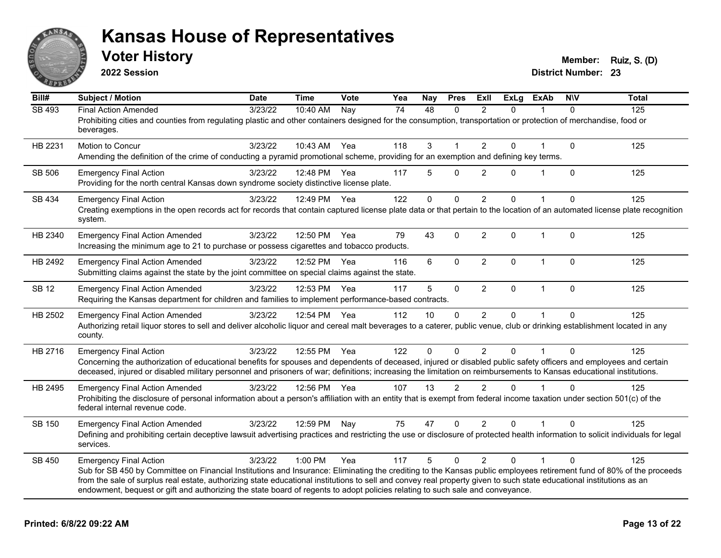

**2022 Session**

**Voter History Member: Ruiz, S. (D)** 

| Bill#        | <b>Subject / Motion</b>                                                                                                                                                                                                                                                                               | <b>Date</b> | <b>Time</b>  | Vote | Yea | Nay      | <b>Pres</b>    | ExIl           | <b>ExLg</b>  | <b>ExAb</b>  | <b>NIV</b>   | <b>Total</b> |
|--------------|-------------------------------------------------------------------------------------------------------------------------------------------------------------------------------------------------------------------------------------------------------------------------------------------------------|-------------|--------------|------|-----|----------|----------------|----------------|--------------|--------------|--------------|--------------|
| SB 493       | <b>Final Action Amended</b>                                                                                                                                                                                                                                                                           | 3/23/22     | 10:40 AM     | Nay  | 74  | 48       | 0              | $\overline{2}$ | $\Omega$     |              | $\Omega$     | 125          |
|              | Prohibiting cities and counties from regulating plastic and other containers designed for the consumption, transportation or protection of merchandise, food or<br>beverages.                                                                                                                         |             |              |      |     |          |                |                |              |              |              |              |
| HB 2231      | Motion to Concur                                                                                                                                                                                                                                                                                      | 3/23/22     | 10:43 AM Yea |      | 118 | 3        |                | $\overline{2}$ | $\Omega$     |              | $\mathbf{0}$ | 125          |
|              | Amending the definition of the crime of conducting a pyramid promotional scheme, providing for an exemption and defining key terms.                                                                                                                                                                   |             |              |      |     |          |                |                |              |              |              |              |
| SB 506       | <b>Emergency Final Action</b>                                                                                                                                                                                                                                                                         | 3/23/22     | 12:48 PM     | Yea  | 117 | 5        | $\mathbf 0$    | 2              | $\Omega$     | 1            | $\Omega$     | 125          |
|              | Providing for the north central Kansas down syndrome society distinctive license plate.                                                                                                                                                                                                               |             |              |      |     |          |                |                |              |              |              |              |
| SB 434       | <b>Emergency Final Action</b>                                                                                                                                                                                                                                                                         | 3/23/22     | 12:49 PM     | Yea  | 122 | 0        | $\mathbf 0$    | $\overline{2}$ | $\mathbf{0}$ |              | $\Omega$     | 125          |
|              | Creating exemptions in the open records act for records that contain captured license plate data or that pertain to the location of an automated license plate recognition<br>system.                                                                                                                 |             |              |      |     |          |                |                |              |              |              |              |
| HB 2340      | <b>Emergency Final Action Amended</b>                                                                                                                                                                                                                                                                 | 3/23/22     | 12:50 PM     | Yea  | 79  | 43       | $\Omega$       | 2              | $\mathbf{0}$ | $\mathbf 1$  | $\Omega$     | 125          |
|              | Increasing the minimum age to 21 to purchase or possess cigarettes and tobacco products.                                                                                                                                                                                                              |             |              |      |     |          |                |                |              |              |              |              |
| HB 2492      | <b>Emergency Final Action Amended</b>                                                                                                                                                                                                                                                                 | 3/23/22     | 12:52 PM Yea |      | 116 | 6        | $\Omega$       | 2              | $\Omega$     | $\mathbf 1$  | $\mathbf{0}$ | 125          |
|              | Submitting claims against the state by the joint committee on special claims against the state.                                                                                                                                                                                                       |             |              |      |     |          |                |                |              |              |              |              |
| <b>SB 12</b> | <b>Emergency Final Action Amended</b>                                                                                                                                                                                                                                                                 | 3/23/22     | 12:53 PM     | Yea  | 117 | 5        | $\pmb{0}$      | $\overline{2}$ | 0            | $\mathbf{1}$ | $\mathbf 0$  | 125          |
|              | Requiring the Kansas department for children and families to implement performance-based contracts.                                                                                                                                                                                                   |             |              |      |     |          |                |                |              |              |              |              |
| HB 2502      | <b>Emergency Final Action Amended</b>                                                                                                                                                                                                                                                                 | 3/23/22     | 12:54 PM Yea |      | 112 | 10       | $\Omega$       | $\overline{2}$ | 0            |              | $\Omega$     | 125          |
|              | Authorizing retail liquor stores to sell and deliver alcoholic liquor and cereal malt beverages to a caterer, public venue, club or drinking establishment located in any<br>county.                                                                                                                  |             |              |      |     |          |                |                |              |              |              |              |
| HB 2716      | <b>Emergency Final Action</b>                                                                                                                                                                                                                                                                         | 3/23/22     | 12:55 PM     | Yea  | 122 | $\Omega$ | $\Omega$       | 2              | $\mathbf{0}$ |              | $\Omega$     | 125          |
|              | Concerning the authorization of educational benefits for spouses and dependents of deceased, injured or disabled public safety officers and employees and certain                                                                                                                                     |             |              |      |     |          |                |                |              |              |              |              |
|              | deceased, injured or disabled military personnel and prisoners of war; definitions; increasing the limitation on reimbursements to Kansas educational institutions.                                                                                                                                   |             |              |      |     |          |                |                |              |              |              |              |
| HB 2495      | <b>Emergency Final Action Amended</b>                                                                                                                                                                                                                                                                 | 3/23/22     | 12:56 PM Yea |      | 107 | 13       | $\mathfrak{p}$ | $\mathfrak{p}$ | $\Omega$     |              | $\Omega$     | 125          |
|              | Prohibiting the disclosure of personal information about a person's affiliation with an entity that is exempt from federal income taxation under section 501(c) of the<br>federal internal revenue code.                                                                                              |             |              |      |     |          |                |                |              |              |              |              |
| SB 150       | <b>Emergency Final Action Amended</b>                                                                                                                                                                                                                                                                 | 3/23/22     | 12:59 PM     | Nay  | 75  | 47       | $\mathbf 0$    | $\overline{2}$ | 0            |              | $\Omega$     | 125          |
|              | Defining and prohibiting certain deceptive lawsuit advertising practices and restricting the use or disclosure of protected health information to solicit individuals for legal<br>services.                                                                                                          |             |              |      |     |          |                |                |              |              |              |              |
| SB 450       | <b>Emergency Final Action</b>                                                                                                                                                                                                                                                                         | 3/23/22     | 1:00 PM      | Yea  | 117 | 5        | $\Omega$       | $\overline{2}$ | $\Omega$     |              | $\Omega$     | 125          |
|              | Sub for SB 450 by Committee on Financial Institutions and Insurance: Eliminating the crediting to the Kansas public employees retirement fund of 80% of the proceeds                                                                                                                                  |             |              |      |     |          |                |                |              |              |              |              |
|              | from the sale of surplus real estate, authorizing state educational institutions to sell and convey real property given to such state educational institutions as an<br>endowment, bequest or gift and authorizing the state board of regents to adopt policies relating to such sale and conveyance. |             |              |      |     |          |                |                |              |              |              |              |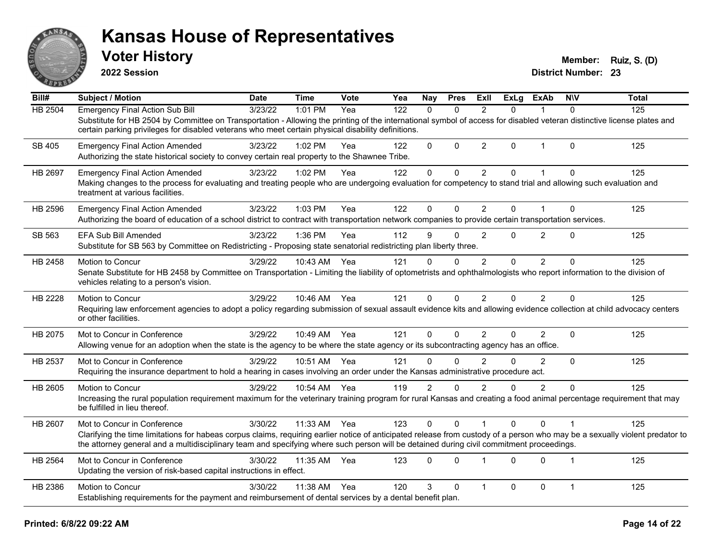

**2022 Session**

**Voter History Member: Ruiz, S. (D)** 

| Bill#   | <b>Subject / Motion</b>                                                                                                                                                                                                                                                                                                  | <b>Date</b> | <b>Time</b>  | Vote | Yea | <b>Nay</b>     | <b>Pres</b> | ExIl           | <b>ExLg</b> | <b>ExAb</b>    | <b>NIV</b>     | <b>Total</b> |
|---------|--------------------------------------------------------------------------------------------------------------------------------------------------------------------------------------------------------------------------------------------------------------------------------------------------------------------------|-------------|--------------|------|-----|----------------|-------------|----------------|-------------|----------------|----------------|--------------|
| HB 2504 | <b>Emergency Final Action Sub Bill</b>                                                                                                                                                                                                                                                                                   | 3/23/22     | 1:01 PM      | Yea  | 122 | $\Omega$       | $\Omega$    | 2              | 0           |                | $\Omega$       | 125          |
|         | Substitute for HB 2504 by Committee on Transportation - Allowing the printing of the international symbol of access for disabled veteran distinctive license plates and<br>certain parking privileges for disabled veterans who meet certain physical disability definitions.                                            |             |              |      |     |                |             |                |             |                |                |              |
| SB 405  | <b>Emergency Final Action Amended</b><br>Authorizing the state historical society to convey certain real property to the Shawnee Tribe.                                                                                                                                                                                  | 3/23/22     | 1:02 PM      | Yea  | 122 | $\Omega$       | $\mathbf 0$ | $\overline{2}$ | 0           | $\mathbf{1}$   | $\Omega$       | 125          |
| HB 2697 | <b>Emergency Final Action Amended</b>                                                                                                                                                                                                                                                                                    | 3/23/22     | 1:02 PM      | Yea  | 122 | $\Omega$       | 0           | $\overline{2}$ | 0           |                | $\Omega$       | 125          |
|         | Making changes to the process for evaluating and treating people who are undergoing evaluation for competency to stand trial and allowing such evaluation and<br>treatment at various facilities.                                                                                                                        |             |              |      |     |                |             |                |             |                |                |              |
| HB 2596 | <b>Emergency Final Action Amended</b>                                                                                                                                                                                                                                                                                    | 3/23/22     | 1:03 PM      | Yea  | 122 | 0              | $\Omega$    | $\overline{2}$ | $\Omega$    | 1              | $\Omega$       | 125          |
|         | Authorizing the board of education of a school district to contract with transportation network companies to provide certain transportation services.                                                                                                                                                                    |             |              |      |     |                |             |                |             |                |                |              |
| SB 563  | EFA Sub Bill Amended                                                                                                                                                                                                                                                                                                     | 3/23/22     | 1:36 PM      | Yea  | 112 | 9              | $\Omega$    | 2              | 0           | $\overline{2}$ | $\mathbf 0$    | 125          |
|         | Substitute for SB 563 by Committee on Redistricting - Proposing state senatorial redistricting plan liberty three.                                                                                                                                                                                                       |             |              |      |     |                |             |                |             |                |                |              |
| HB 2458 | Motion to Concur                                                                                                                                                                                                                                                                                                         | 3/29/22     | 10:43 AM     | Yea  | 121 | $\Omega$       | $\Omega$    | 2              | $\Omega$    | $\overline{2}$ | $\Omega$       | 125          |
|         | Senate Substitute for HB 2458 by Committee on Transportation - Limiting the liability of optometrists and ophthalmologists who report information to the division of<br>vehicles relating to a person's vision.                                                                                                          |             |              |      |     |                |             |                |             |                |                |              |
| HB 2228 | Motion to Concur                                                                                                                                                                                                                                                                                                         | 3/29/22     | 10:46 AM Yea |      | 121 | 0              | $\Omega$    | $\overline{2}$ | 0           | $\overline{2}$ | $\Omega$       | 125          |
|         | Requiring law enforcement agencies to adopt a policy regarding submission of sexual assault evidence kits and allowing evidence collection at child advocacy centers<br>or other facilities.                                                                                                                             |             |              |      |     |                |             |                |             |                |                |              |
| HB 2075 | Mot to Concur in Conference                                                                                                                                                                                                                                                                                              | 3/29/22     | 10:49 AM     | Yea  | 121 | 0              | $\Omega$    | 2              | 0           | $\overline{2}$ | $\mathbf 0$    | 125          |
|         | Allowing venue for an adoption when the state is the agency to be where the state agency or its subcontracting agency has an office.                                                                                                                                                                                     |             |              |      |     |                |             |                |             |                |                |              |
| HB 2537 | Mot to Concur in Conference                                                                                                                                                                                                                                                                                              | 3/29/22     | 10:51 AM     | Yea  | 121 | $\Omega$       | $\Omega$    | $\mathfrak{p}$ | $\Omega$    | $\overline{2}$ | $\Omega$       | 125          |
|         | Requiring the insurance department to hold a hearing in cases involving an order under the Kansas administrative procedure act.                                                                                                                                                                                          |             |              |      |     |                |             |                |             |                |                |              |
| HB 2605 | Motion to Concur                                                                                                                                                                                                                                                                                                         | 3/29/22     | 10:54 AM     | Yea  | 119 | $\overline{2}$ | $\Omega$    | $\overline{2}$ | 0           | $\overline{2}$ | $\Omega$       | 125          |
|         | Increasing the rural population requirement maximum for the veterinary training program for rural Kansas and creating a food animal percentage requirement that may<br>be fulfilled in lieu thereof.                                                                                                                     |             |              |      |     |                |             |                |             |                |                |              |
| HB 2607 | Mot to Concur in Conference                                                                                                                                                                                                                                                                                              | 3/30/22     | 11:33 AM     | Yea  | 123 | 0              | $\Omega$    |                | $\Omega$    | $\Omega$       |                | 125          |
|         | Clarifying the time limitations for habeas corpus claims, requiring earlier notice of anticipated release from custody of a person who may be a sexually violent predator to<br>the attorney general and a multidisciplinary team and specifying where such person will be detained during civil commitment proceedings. |             |              |      |     |                |             |                |             |                |                |              |
| HB 2564 | Mot to Concur in Conference                                                                                                                                                                                                                                                                                              | 3/30/22     | 11:35 AM     | Yea  | 123 | 0              | $\Omega$    | $\overline{1}$ | 0           | $\mathbf{0}$   | $\overline{1}$ | 125          |
|         | Updating the version of risk-based capital instructions in effect.                                                                                                                                                                                                                                                       |             |              |      |     |                |             |                |             |                |                |              |
| HB 2386 | Motion to Concur                                                                                                                                                                                                                                                                                                         | 3/30/22     | 11:38 AM     | Yea  | 120 | 3              | $\Omega$    | $\overline{1}$ | 0           | 0              | $\mathbf{1}$   | 125          |
|         | Establishing requirements for the payment and reimbursement of dental services by a dental benefit plan.                                                                                                                                                                                                                 |             |              |      |     |                |             |                |             |                |                |              |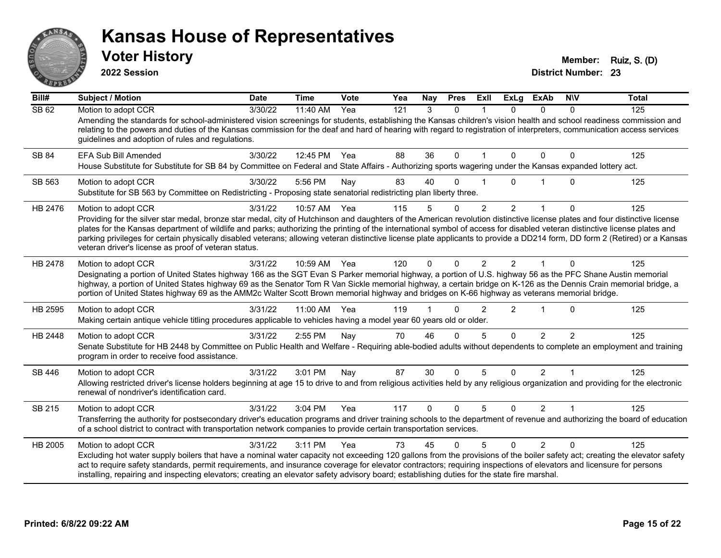

**2022 Session**

**Voter History Member: Ruiz, S. (D)** 

| Bill#   | <b>Subject / Motion</b>                                                                                                                                                                                                                                                                                                                                                                                                                                                                                                                                                                                                 | <b>Date</b> | <b>Time</b> | Vote | Yea | Nay          | <b>Pres</b>  | ExII           | <b>ExLg</b>    | <b>ExAb</b>    | <b>NIV</b>     | <b>Total</b> |
|---------|-------------------------------------------------------------------------------------------------------------------------------------------------------------------------------------------------------------------------------------------------------------------------------------------------------------------------------------------------------------------------------------------------------------------------------------------------------------------------------------------------------------------------------------------------------------------------------------------------------------------------|-------------|-------------|------|-----|--------------|--------------|----------------|----------------|----------------|----------------|--------------|
| SB 62   | Motion to adopt CCR<br>Amending the standards for school-administered vision screenings for students, establishing the Kansas children's vision health and school readiness commission and<br>relating to the powers and duties of the Kansas commission for the deaf and hard of hearing with regard to registration of interpreters, communication access services<br>guidelines and adoption of rules and regulations.                                                                                                                                                                                               | 3/30/22     | 11:40 AM    | Yea  | 121 | 3            | $\mathbf{0}$ |                | $\Omega$       | $\mathbf{0}$   | $\Omega$       | 125          |
| SB 84   | EFA Sub Bill Amended<br>House Substitute for Substitute for SB 84 by Committee on Federal and State Affairs - Authorizing sports wagering under the Kansas expanded lottery act.                                                                                                                                                                                                                                                                                                                                                                                                                                        | 3/30/22     | 12:45 PM    | Yea  | 88  | 36           | 0            |                | $\Omega$       | $\Omega$       | 0              | 125          |
| SB 563  | Motion to adopt CCR<br>Substitute for SB 563 by Committee on Redistricting - Proposing state senatorial redistricting plan liberty three.                                                                                                                                                                                                                                                                                                                                                                                                                                                                               | 3/30/22     | 5:56 PM     | Nay  | 83  | 40           | 0            |                | U              |                | $\Omega$       | 125          |
| HB 2476 | Motion to adopt CCR<br>Providing for the silver star medal, bronze star medal, city of Hutchinson and daughters of the American revolution distinctive license plates and four distinctive license<br>plates for the Kansas department of wildlife and parks; authorizing the printing of the international symbol of access for disabled veteran distinctive license plates and<br>parking privileges for certain physically disabled veterans; allowing veteran distinctive license plate applicants to provide a DD214 form, DD form 2 (Retired) or a Kansas<br>veteran driver's license as proof of veteran status. | 3/31/22     | 10:57 AM    | Yea  | 115 | 5            | $\Omega$     | 2              | $\overline{2}$ |                | $\mathbf{0}$   | 125          |
| HB 2478 | Motion to adopt CCR<br>Designating a portion of United States highway 166 as the SGT Evan S Parker memorial highway, a portion of U.S. highway 56 as the PFC Shane Austin memorial<br>highway, a portion of United States highway 69 as the Senator Tom R Van Sickle memorial highway, a certain bridge on K-126 as the Dennis Crain memorial bridge, a<br>portion of United States highway 69 as the AMM2c Walter Scott Brown memorial highway and bridges on K-66 highway as veterans memorial bridge.                                                                                                                | 3/31/22     | 10:59 AM    | Yea  | 120 | $\Omega$     | $\Omega$     | $\overline{2}$ | $\mathcal{P}$  | $\mathbf{1}$   | $\Omega$       | 125          |
| HB 2595 | Motion to adopt CCR<br>Making certain antique vehicle titling procedures applicable to vehicles having a model year 60 years old or older.                                                                                                                                                                                                                                                                                                                                                                                                                                                                              | 3/31/22     | 11:00 AM    | Yea  | 119 |              | 0            | $\overline{2}$ | 2              |                | $\Omega$       | 125          |
| HB 2448 | Motion to adopt CCR<br>Senate Substitute for HB 2448 by Committee on Public Health and Welfare - Requiring able-bodied adults without dependents to complete an employment and training<br>program in order to receive food assistance.                                                                                                                                                                                                                                                                                                                                                                                 | 3/31/22     | 2:55 PM     | Nay  | 70  | 46           | $\Omega$     | 5              | $\Omega$       | $\mathcal{P}$  | $\mathfrak{p}$ | 125          |
| SB 446  | Motion to adopt CCR<br>Allowing restricted driver's license holders beginning at age 15 to drive to and from religious activities held by any religious organization and providing for the electronic<br>renewal of nondriver's identification card.                                                                                                                                                                                                                                                                                                                                                                    | 3/31/22     | 3:01 PM     | Nay  | 87  | 30           | $\mathbf{0}$ | 5              | $\Omega$       | $\overline{2}$ |                | 125          |
| SB 215  | Motion to adopt CCR<br>Transferring the authority for postsecondary driver's education programs and driver training schools to the department of revenue and authorizing the board of education<br>of a school district to contract with transportation network companies to provide certain transportation services.                                                                                                                                                                                                                                                                                                   | 3/31/22     | 3:04 PM     | Yea  | 117 | $\mathbf{0}$ | $\Omega$     | 5              | $\Omega$       | $\overline{2}$ | $\mathbf 1$    | 125          |
| HB 2005 | Motion to adopt CCR<br>Excluding hot water supply boilers that have a nominal water capacity not exceeding 120 gallons from the provisions of the boiler safety act; creating the elevator safety<br>act to require safety standards, permit requirements, and insurance coverage for elevator contractors; requiring inspections of elevators and licensure for persons<br>installing, repairing and inspecting elevators; creating an elevator safety advisory board; establishing duties for the state fire marshal.                                                                                                 | 3/31/22     | 3:11 PM     | Yea  | 73  | 45           | $\Omega$     | 5              | $\Omega$       | $\mathcal{P}$  | $\Omega$       | 125          |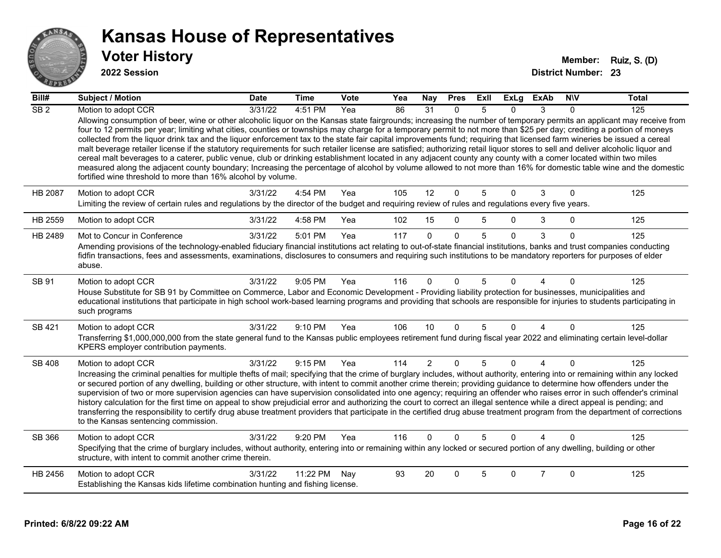

#### **2022 Session**

| Bill#            | <b>Subject / Motion</b>                                                                                                                                                                                                                                                                                                                                                                                                                                                                                                                                                                                                                                                                                                                                                                                                                                                                                                                                                                                                                                                                                                   | <b>Date</b> | <b>Time</b> | Vote | Yea | Nay            | <b>Pres</b>  | ExII | <b>ExLg</b>  | <b>ExAb</b>    | <b>NIV</b>   | <b>Total</b> |
|------------------|---------------------------------------------------------------------------------------------------------------------------------------------------------------------------------------------------------------------------------------------------------------------------------------------------------------------------------------------------------------------------------------------------------------------------------------------------------------------------------------------------------------------------------------------------------------------------------------------------------------------------------------------------------------------------------------------------------------------------------------------------------------------------------------------------------------------------------------------------------------------------------------------------------------------------------------------------------------------------------------------------------------------------------------------------------------------------------------------------------------------------|-------------|-------------|------|-----|----------------|--------------|------|--------------|----------------|--------------|--------------|
| $\overline{SB2}$ | Motion to adopt CCR                                                                                                                                                                                                                                                                                                                                                                                                                                                                                                                                                                                                                                                                                                                                                                                                                                                                                                                                                                                                                                                                                                       | 3/31/22     | 4:51 PM     | Yea  | 86  | 31             | 0            | 5    | 0            | 3              | $\Omega$     | 125          |
|                  | Allowing consumption of beer, wine or other alcoholic liquor on the Kansas state fairgrounds; increasing the number of temporary permits an applicant may receive from<br>four to 12 permits per year; limiting what cities, counties or townships may charge for a temporary permit to not more than \$25 per day; crediting a portion of moneys<br>collected from the liquor drink tax and the liquor enforcement tax to the state fair capital improvements fund; requiring that licensed farm wineries be issued a cereal<br>malt beverage retailer license if the statutory requirements for such retailer license are satisfied; authorizing retail liquor stores to sell and deliver alcoholic liquor and<br>cereal malt beverages to a caterer, public venue, club or drinking establishment located in any adjacent county any county with a comer located within two miles<br>measured along the adjacent county boundary; Increasing the percentage of alcohol by volume allowed to not more than 16% for domestic table wine and the domestic<br>fortified wine threshold to more than 16% alcohol by volume. |             |             |      |     |                |              |      |              |                |              |              |
| <b>HB 2087</b>   | Motion to adopt CCR                                                                                                                                                                                                                                                                                                                                                                                                                                                                                                                                                                                                                                                                                                                                                                                                                                                                                                                                                                                                                                                                                                       | 3/31/22     | 4:54 PM     | Yea  | 105 | 12             | $\mathbf{0}$ | 5    | $\Omega$     | 3              | $\Omega$     | 125          |
|                  | Limiting the review of certain rules and regulations by the director of the budget and requiring review of rules and regulations every five years.                                                                                                                                                                                                                                                                                                                                                                                                                                                                                                                                                                                                                                                                                                                                                                                                                                                                                                                                                                        |             |             |      |     |                |              |      |              |                |              |              |
| HB 2559          | Motion to adopt CCR                                                                                                                                                                                                                                                                                                                                                                                                                                                                                                                                                                                                                                                                                                                                                                                                                                                                                                                                                                                                                                                                                                       | 3/31/22     | 4:58 PM     | Yea  | 102 | 15             | $\Omega$     | 5    | $\Omega$     | 3              | $\mathbf{0}$ | 125          |
| HB 2489          | Mot to Concur in Conference                                                                                                                                                                                                                                                                                                                                                                                                                                                                                                                                                                                                                                                                                                                                                                                                                                                                                                                                                                                                                                                                                               | 3/31/22     | 5:01 PM     | Yea  | 117 | $\Omega$       | $\Omega$     | 5    | $\mathbf{0}$ | 3              | $\mathbf{0}$ | 125          |
|                  | Amending provisions of the technology-enabled fiduciary financial institutions act relating to out-of-state financial institutions, banks and trust companies conducting<br>fidfin transactions, fees and assessments, examinations, disclosures to consumers and requiring such institutions to be mandatory reporters for purposes of elder<br>abuse.                                                                                                                                                                                                                                                                                                                                                                                                                                                                                                                                                                                                                                                                                                                                                                   |             |             |      |     |                |              |      |              |                |              |              |
| SB 91            | Motion to adopt CCR<br>House Substitute for SB 91 by Committee on Commerce, Labor and Economic Development - Providing liability protection for businesses, municipalities and<br>educational institutions that participate in high school work-based learning programs and providing that schools are responsible for injuries to students participating in<br>such programs                                                                                                                                                                                                                                                                                                                                                                                                                                                                                                                                                                                                                                                                                                                                             | 3/31/22     | 9:05 PM     | Yea  | 116 | $\Omega$       | $\Omega$     | 5    | 0            |                | $\Omega$     | 125          |
| SB 421           | Motion to adopt CCR<br>Transferring \$1,000,000,000 from the state general fund to the Kansas public employees retirement fund during fiscal year 2022 and eliminating certain level-dollar<br>KPERS employer contribution payments.                                                                                                                                                                                                                                                                                                                                                                                                                                                                                                                                                                                                                                                                                                                                                                                                                                                                                      | 3/31/22     | $9:10$ PM   | Yea  | 106 | 10             | $\Omega$     | 5    | $\Omega$     | 4              | $\Omega$     | 125          |
| SB 408           | Motion to adopt CCR<br>Increasing the criminal penalties for multiple thefts of mail; specifying that the crime of burglary includes, without authority, entering into or remaining within any locked<br>or secured portion of any dwelling, building or other structure, with intent to commit another crime therein; providing guidance to determine how offenders under the<br>supervision of two or more supervision agencies can have supervision consolidated into one agency; requiring an offender who raises error in such offender's criminal<br>history calculation for the first time on appeal to show prejudicial error and authorizing the court to correct an illegal sentence while a direct appeal is pending; and<br>transferring the responsibility to certify drug abuse treatment providers that participate in the certified drug abuse treatment program from the department of corrections<br>to the Kansas sentencing commission.                                                                                                                                                               | 3/31/22     | 9:15 PM     | Yea  | 114 | $\overline{2}$ | $\mathbf 0$  | 5    | $\Omega$     | 4              | $\Omega$     | 125          |
| SB 366           | Motion to adopt CCR                                                                                                                                                                                                                                                                                                                                                                                                                                                                                                                                                                                                                                                                                                                                                                                                                                                                                                                                                                                                                                                                                                       | 3/31/22     | 9:20 PM     | Yea  | 116 | $\mathbf{0}$   | $\Omega$     | 5    | $\Omega$     | Δ              | $\Omega$     | 125          |
|                  | Specifying that the crime of burglary includes, without authority, entering into or remaining within any locked or secured portion of any dwelling, building or other<br>structure, with intent to commit another crime therein.                                                                                                                                                                                                                                                                                                                                                                                                                                                                                                                                                                                                                                                                                                                                                                                                                                                                                          |             |             |      |     |                |              |      |              |                |              |              |
| HB 2456          | Motion to adopt CCR                                                                                                                                                                                                                                                                                                                                                                                                                                                                                                                                                                                                                                                                                                                                                                                                                                                                                                                                                                                                                                                                                                       | 3/31/22     | 11:22 PM    | Nav  | 93  | 20             | $\Omega$     | 5    | $\Omega$     | $\overline{7}$ | $\Omega$     | 125          |
|                  | Establishing the Kansas kids lifetime combination hunting and fishing license.                                                                                                                                                                                                                                                                                                                                                                                                                                                                                                                                                                                                                                                                                                                                                                                                                                                                                                                                                                                                                                            |             |             |      |     |                |              |      |              |                |              |              |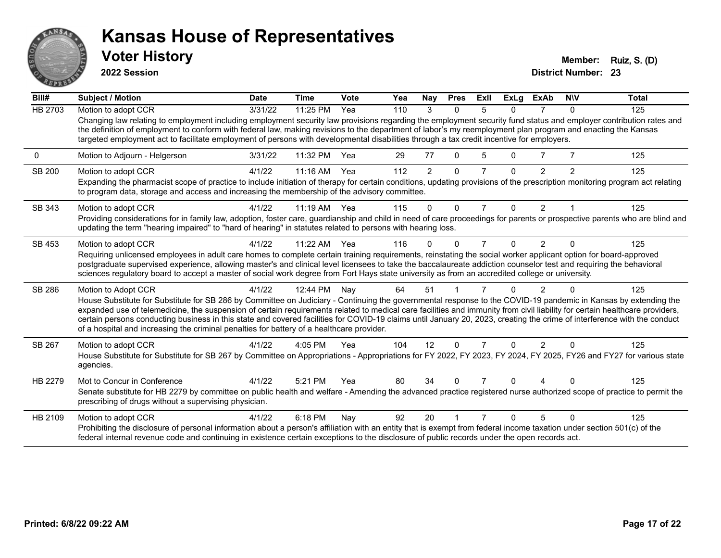

**2022 Session**

**Voter History Member: Ruiz, S. (D)** 

| Bill#          | Subject / Motion                                                                                                                                                                                                                                                                                                                                                                                                                                                                | <b>Date</b> | <b>Time</b> | Vote | Yea | Nay            | <b>Pres</b> | ExII           | <b>ExLg</b> | <b>ExAb</b>    | <b>NIV</b>     | <b>Total</b> |
|----------------|---------------------------------------------------------------------------------------------------------------------------------------------------------------------------------------------------------------------------------------------------------------------------------------------------------------------------------------------------------------------------------------------------------------------------------------------------------------------------------|-------------|-------------|------|-----|----------------|-------------|----------------|-------------|----------------|----------------|--------------|
| <b>HB 2703</b> | Motion to adopt CCR                                                                                                                                                                                                                                                                                                                                                                                                                                                             | 3/31/22     | 11:25 PM    | Yea  | 110 | 3              | $\Omega$    | 5              | 0           |                | $\Omega$       | 125          |
|                | Changing law relating to employment including employment security law provisions regarding the employment security fund status and employer contribution rates and<br>the definition of employment to conform with federal law, making revisions to the department of labor's my reemployment plan program and enacting the Kansas<br>targeted employment act to facilitate employment of persons with developmental disabilities through a tax credit incentive for employers. |             |             |      |     |                |             |                |             |                |                |              |
| 0              | Motion to Adjourn - Helgerson                                                                                                                                                                                                                                                                                                                                                                                                                                                   | 3/31/22     | 11:32 PM    | Yea  | 29  | 77             | $\Omega$    | 5              | U           |                |                | 125          |
| <b>SB 200</b>  | Motion to adopt CCR                                                                                                                                                                                                                                                                                                                                                                                                                                                             | 4/1/22      | $11:16$ AM  | Yea  | 112 | $\overline{2}$ | $\Omega$    | 7              | $\Omega$    | 2              | $\overline{2}$ | 125          |
|                | Expanding the pharmacist scope of practice to include initiation of therapy for certain conditions, updating provisions of the prescription monitoring program act relating<br>to program data, storage and access and increasing the membership of the advisory committee.                                                                                                                                                                                                     |             |             |      |     |                |             |                |             |                |                |              |
| SB 343         | Motion to adopt CCR                                                                                                                                                                                                                                                                                                                                                                                                                                                             | 4/1/22      | $11:19$ AM  | Yea  | 115 | $\Omega$       | $\Omega$    | $\overline{7}$ | 0           | 2              |                | 125          |
|                | Providing considerations for in family law, adoption, foster care, guardianship and child in need of care proceedings for parents or prospective parents who are blind and<br>updating the term "hearing impaired" to "hard of hearing" in statutes related to persons with hearing loss.                                                                                                                                                                                       |             |             |      |     |                |             |                |             |                |                |              |
| SB 453         | Motion to adopt CCR                                                                                                                                                                                                                                                                                                                                                                                                                                                             | 4/1/22      | 11:22 AM    | Yea  | 116 | 0              | ∩           | 7              | 0           | $\mathfrak{p}$ | $\Omega$       | 125          |
|                | Requiring unlicensed employees in adult care homes to complete certain training requirements, reinstating the social worker applicant option for board-approved                                                                                                                                                                                                                                                                                                                 |             |             |      |     |                |             |                |             |                |                |              |
|                | postgraduate supervised experience, allowing master's and clinical level licensees to take the baccalaureate addiction counselor test and requiring the behavioral<br>sciences regulatory board to accept a master of social work degree from Fort Hays state university as from an accredited college or university.                                                                                                                                                           |             |             |      |     |                |             |                |             |                |                |              |
| SB 286         | Motion to Adopt CCR                                                                                                                                                                                                                                                                                                                                                                                                                                                             | 4/1/22      | 12:44 PM    | Nay  | 64  | 51             |             |                | 0           | $\overline{2}$ | $\Omega$       | 125          |
|                | House Substitute for Substitute for SB 286 by Committee on Judiciary - Continuing the governmental response to the COVID-19 pandemic in Kansas by extending the                                                                                                                                                                                                                                                                                                                 |             |             |      |     |                |             |                |             |                |                |              |
|                | expanded use of telemedicine, the suspension of certain requirements related to medical care facilities and immunity from civil liability for certain healthcare providers,<br>certain persons conducting business in this state and covered facilities for COVID-19 claims until January 20, 2023, creating the crime of interference with the conduct                                                                                                                         |             |             |      |     |                |             |                |             |                |                |              |
|                | of a hospital and increasing the criminal penalties for battery of a healthcare provider.                                                                                                                                                                                                                                                                                                                                                                                       |             |             |      |     |                |             |                |             |                |                |              |
| SB 267         | Motion to adopt CCR                                                                                                                                                                                                                                                                                                                                                                                                                                                             | 4/1/22      | 4:05 PM     | Yea  | 104 | 12             | 0           | 7              | $\Omega$    | 2              | $\Omega$       | 125          |
|                | House Substitute for Substitute for SB 267 by Committee on Appropriations - Appropriations for FY 2022, FY 2023, FY 2024, FY 2025, FY26 and FY27 for various state<br>agencies.                                                                                                                                                                                                                                                                                                 |             |             |      |     |                |             |                |             |                |                |              |
| HB 2279        | Mot to Concur in Conference                                                                                                                                                                                                                                                                                                                                                                                                                                                     | 4/1/22      | 5:21 PM     | Yea  | 80  | 34             | O           |                | n           |                |                | 125          |
|                | Senate substitute for HB 2279 by committee on public health and welfare - Amending the advanced practice registered nurse authorized scope of practice to permit the<br>prescribing of drugs without a supervising physician.                                                                                                                                                                                                                                                   |             |             |      |     |                |             |                |             |                |                |              |
| HB 2109        | Motion to adopt CCR                                                                                                                                                                                                                                                                                                                                                                                                                                                             | 4/1/22      | 6:18 PM     | Nay  | 92  | 20             |             |                |             | 5              | $\Omega$       | 125          |
|                | Prohibiting the disclosure of personal information about a person's affiliation with an entity that is exempt from federal income taxation under section 501(c) of the<br>federal internal revenue code and continuing in existence certain exceptions to the disclosure of public records under the open records act.                                                                                                                                                          |             |             |      |     |                |             |                |             |                |                |              |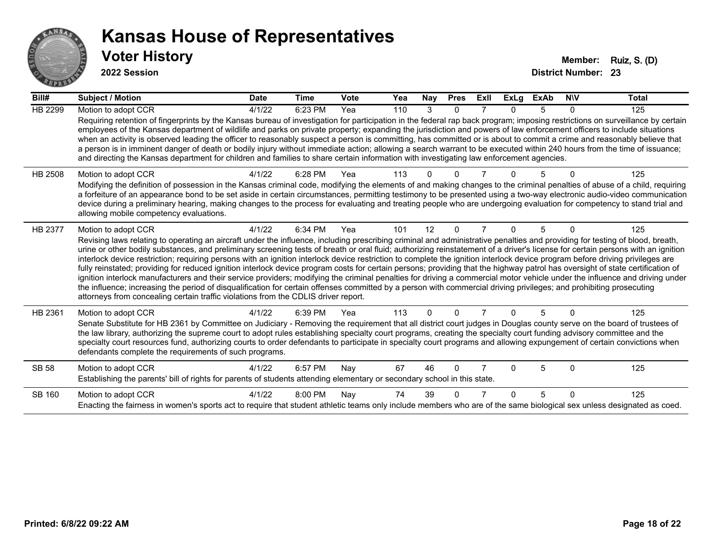

**2022 Session**

| Bill#          | <b>Subject / Motion</b>                                                                                                                                                                                                                                                                                                                                                                                                                                                                                                                                                                                                                                                                                                                                                                                                                                                                                                                                                                                                                                                                                                                                                                               | <b>Date</b> | <b>Time</b> | Vote | Yea | Nay      | <b>Pres</b> | Exll | <b>ExLg</b> | <b>ExAb</b> | <b>NIV</b>   | <b>Total</b> |
|----------------|-------------------------------------------------------------------------------------------------------------------------------------------------------------------------------------------------------------------------------------------------------------------------------------------------------------------------------------------------------------------------------------------------------------------------------------------------------------------------------------------------------------------------------------------------------------------------------------------------------------------------------------------------------------------------------------------------------------------------------------------------------------------------------------------------------------------------------------------------------------------------------------------------------------------------------------------------------------------------------------------------------------------------------------------------------------------------------------------------------------------------------------------------------------------------------------------------------|-------------|-------------|------|-----|----------|-------------|------|-------------|-------------|--------------|--------------|
| <b>HB 2299</b> | Motion to adopt CCR<br>Requiring retention of fingerprints by the Kansas bureau of investigation for participation in the federal rap back program; imposing restrictions on surveillance by certain<br>employees of the Kansas department of wildlife and parks on private property; expanding the jurisdiction and powers of law enforcement officers to include situations<br>when an activity is observed leading the officer to reasonably suspect a person is committing, has committed or is about to commit a crime and reasonably believe that<br>a person is in imminent danger of death or bodily injury without immediate action; allowing a search warrant to be executed within 240 hours from the time of issuance;<br>and directing the Kansas department for children and families to share certain information with investigating law enforcement agencies.                                                                                                                                                                                                                                                                                                                         | 4/1/22      | 6:23 PM     | Yea  | 110 | 3        | $\Omega$    |      | $\Omega$    | 5           | 0            | 125          |
| HB 2508        | Motion to adopt CCR<br>Modifying the definition of possession in the Kansas criminal code, modifying the elements of and making changes to the criminal penalties of abuse of a child, requiring<br>a forfeiture of an appearance bond to be set aside in certain circumstances, permitting testimony to be presented using a two-way electronic audio-video communication<br>device during a preliminary hearing, making changes to the process for evaluating and treating people who are undergoing evaluation for competency to stand trial and<br>allowing mobile competency evaluations.                                                                                                                                                                                                                                                                                                                                                                                                                                                                                                                                                                                                        | 4/1/22      | 6:28 PM     | Yea  | 113 |          |             |      |             |             |              | 125          |
| <b>HB 2377</b> | Motion to adopt CCR<br>Revising laws relating to operating an aircraft under the influence, including prescribing criminal and administrative penalties and providing for testing of blood, breath,<br>urine or other bodily substances, and preliminary screening tests of breath or oral fluid; authorizing reinstatement of a driver's license for certain persons with an ignition<br>interlock device restriction; requiring persons with an ignition interlock device restriction to complete the ignition interlock device program before driving privileges are<br>fully reinstated; providing for reduced ignition interlock device program costs for certain persons; providing that the highway patrol has oversight of state certification of<br>ignition interlock manufacturers and their service providers; modifying the criminal penalties for driving a commercial motor vehicle under the influence and driving under<br>the influence; increasing the period of disqualification for certain offenses committed by a person with commercial driving privileges; and prohibiting prosecuting<br>attorneys from concealing certain traffic violations from the CDLIS driver report. | 4/1/22      | 6:34 PM     | Yea  | 101 | 12       | $\Omega$    |      | $\Omega$    | 5           |              | 125          |
| HB 2361        | Motion to adopt CCR<br>Senate Substitute for HB 2361 by Committee on Judiciary - Removing the requirement that all district court judges in Douglas county serve on the board of trustees of<br>the law library, authorizing the supreme court to adopt rules establishing specialty court programs, creating the specialty court funding advisory committee and the<br>specialty court resources fund, authorizing courts to order defendants to participate in specialty court programs and allowing expungement of certain convictions when<br>defendants complete the requirements of such programs.                                                                                                                                                                                                                                                                                                                                                                                                                                                                                                                                                                                              | 4/1/22      | 6:39 PM     | Yea  | 113 | $\Omega$ | 0           |      | $\Omega$    | 5           | <sup>0</sup> | 125          |
| <b>SB 58</b>   | Motion to adopt CCR<br>Establishing the parents' bill of rights for parents of students attending elementary or secondary school in this state.                                                                                                                                                                                                                                                                                                                                                                                                                                                                                                                                                                                                                                                                                                                                                                                                                                                                                                                                                                                                                                                       | 4/1/22      | 6:57 PM     | Nay  | 67  | 46       | 0           |      | ∩           | 5           | U            | 125          |
| SB 160         | Motion to adopt CCR<br>Enacting the fairness in women's sports act to require that student athletic teams only include members who are of the same biological sex unless designated as coed.                                                                                                                                                                                                                                                                                                                                                                                                                                                                                                                                                                                                                                                                                                                                                                                                                                                                                                                                                                                                          | 4/1/22      | 8:00 PM     | Nay  | 74  | 39       |             |      | $\Omega$    | 5           | $\Omega$     | 125          |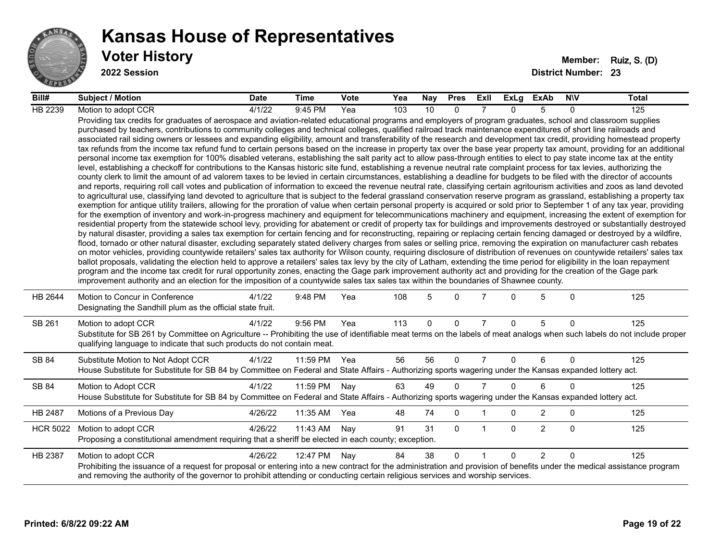

**2022 Session**

| Bill#           | <b>Subject / Motion</b>                                                                                                                                                                                                                                                                                                                                                                                                                                                                                                                                                                                                                                                                                                                                                                                                                                                                                                                                                                                                                                                                                                                                                                                                                                                                                                                                                                                                                                                                                                                                                                                                                                                                                                                                                                                                                                                                                                                                                                                                                                                                                                                                                                                                                                                                                                                                                                                                                                                                                                                                                                                                                                                                                                                                                                                                                                                                                                                                                                                                                                                                                                                                                     | <b>Date</b> | Time         | <b>Vote</b> | Yea | Nay | <b>Pres</b> | ExII           | ExLg         | ExAb           | <b>NIV</b>   | Total |
|-----------------|-----------------------------------------------------------------------------------------------------------------------------------------------------------------------------------------------------------------------------------------------------------------------------------------------------------------------------------------------------------------------------------------------------------------------------------------------------------------------------------------------------------------------------------------------------------------------------------------------------------------------------------------------------------------------------------------------------------------------------------------------------------------------------------------------------------------------------------------------------------------------------------------------------------------------------------------------------------------------------------------------------------------------------------------------------------------------------------------------------------------------------------------------------------------------------------------------------------------------------------------------------------------------------------------------------------------------------------------------------------------------------------------------------------------------------------------------------------------------------------------------------------------------------------------------------------------------------------------------------------------------------------------------------------------------------------------------------------------------------------------------------------------------------------------------------------------------------------------------------------------------------------------------------------------------------------------------------------------------------------------------------------------------------------------------------------------------------------------------------------------------------------------------------------------------------------------------------------------------------------------------------------------------------------------------------------------------------------------------------------------------------------------------------------------------------------------------------------------------------------------------------------------------------------------------------------------------------------------------------------------------------------------------------------------------------------------------------------------------------------------------------------------------------------------------------------------------------------------------------------------------------------------------------------------------------------------------------------------------------------------------------------------------------------------------------------------------------------------------------------------------------------------------------------------------------|-------------|--------------|-------------|-----|-----|-------------|----------------|--------------|----------------|--------------|-------|
| HB 2239         | Motion to adopt CCR                                                                                                                                                                                                                                                                                                                                                                                                                                                                                                                                                                                                                                                                                                                                                                                                                                                                                                                                                                                                                                                                                                                                                                                                                                                                                                                                                                                                                                                                                                                                                                                                                                                                                                                                                                                                                                                                                                                                                                                                                                                                                                                                                                                                                                                                                                                                                                                                                                                                                                                                                                                                                                                                                                                                                                                                                                                                                                                                                                                                                                                                                                                                                         | 4/1/22      | 9:45 PM      | Yea         | 103 | 10  | $\Omega$    |                | $\Omega$     | 5              | $\Omega$     | 125   |
|                 | Providing tax credits for graduates of aerospace and aviation-related educational programs and employers of program graduates, school and classroom supplies<br>purchased by teachers, contributions to community colleges and technical colleges, qualified railroad track maintenance expenditures of short line railroads and<br>associated rail siding owners or lessees and expanding eligibility, amount and transferability of the research and development tax credit, providing homestead property<br>tax refunds from the income tax refund fund to certain persons based on the increase in property tax over the base year property tax amount, providing for an additional<br>personal income tax exemption for 100% disabled veterans, establishing the salt parity act to allow pass-through entities to elect to pay state income tax at the entity<br>level, establishing a checkoff for contributions to the Kansas historic site fund, establishing a revenue neutral rate complaint process for tax levies, authorizing the<br>county clerk to limit the amount of ad valorem taxes to be levied in certain circumstances, establishing a deadline for budgets to be filed with the director of accounts<br>and reports, requiring roll call votes and publication of information to exceed the revenue neutral rate, classifying certain agritourism activities and zoos as land devoted<br>to agricultural use, classifying land devoted to agriculture that is subject to the federal grassland conservation reserve program as grassland, establishing a property tax<br>exemption for antique utility trailers, allowing for the proration of value when certain personal property is acquired or sold prior to September 1 of any tax year, providing<br>for the exemption of inventory and work-in-progress machinery and equipment for telecommunications machinery and equipment, increasing the extent of exemption for<br>residential property from the statewide school levy, providing for abatement or credit of property tax for buildings and improvements destroyed or substantially destroyed<br>by natural disaster, providing a sales tax exemption for certain fencing and for reconstructing, repairing or replacing certain fencing damaged or destroyed by a wildfire,<br>flood, tornado or other natural disaster, excluding separately stated delivery charges from sales or selling price, removing the expiration on manufacturer cash rebates<br>on motor vehicles, providing countywide retailers' sales tax authority for Wilson county, requiring disclosure of distribution of revenues on countywide retailers' sales tax<br>ballot proposals, validating the election held to approve a retailers' sales tax levy by the city of Latham, extending the time period for eligibility in the loan repayment<br>program and the income tax credit for rural opportunity zones, enacting the Gage park improvement authority act and providing for the creation of the Gage park<br>improvement authority and an election for the imposition of a countywide sales tax sales tax within the boundaries of Shawnee county. |             |              |             |     |     |             |                |              |                |              |       |
| HB 2644         | Motion to Concur in Conference<br>Designating the Sandhill plum as the official state fruit.                                                                                                                                                                                                                                                                                                                                                                                                                                                                                                                                                                                                                                                                                                                                                                                                                                                                                                                                                                                                                                                                                                                                                                                                                                                                                                                                                                                                                                                                                                                                                                                                                                                                                                                                                                                                                                                                                                                                                                                                                                                                                                                                                                                                                                                                                                                                                                                                                                                                                                                                                                                                                                                                                                                                                                                                                                                                                                                                                                                                                                                                                | 4/1/22      | 9:48 PM      | Yea         | 108 | 5   | $\Omega$    |                | 0            | 5              | $\mathbf{0}$ | 125   |
| SB 261          | Motion to adopt CCR<br>Substitute for SB 261 by Committee on Agriculture -- Prohibiting the use of identifiable meat terms on the labels of meat analogs when such labels do not include proper<br>qualifying language to indicate that such products do not contain meat.                                                                                                                                                                                                                                                                                                                                                                                                                                                                                                                                                                                                                                                                                                                                                                                                                                                                                                                                                                                                                                                                                                                                                                                                                                                                                                                                                                                                                                                                                                                                                                                                                                                                                                                                                                                                                                                                                                                                                                                                                                                                                                                                                                                                                                                                                                                                                                                                                                                                                                                                                                                                                                                                                                                                                                                                                                                                                                  | 4/1/22      | 9:56 PM      | Yea         | 113 | 0   | 0           | $\overline{7}$ | $\Omega$     | 5              | $\mathbf{0}$ | 125   |
| SB 84           | Substitute Motion to Not Adopt CCR<br>House Substitute for Substitute for SB 84 by Committee on Federal and State Affairs - Authorizing sports wagering under the Kansas expanded lottery act.                                                                                                                                                                                                                                                                                                                                                                                                                                                                                                                                                                                                                                                                                                                                                                                                                                                                                                                                                                                                                                                                                                                                                                                                                                                                                                                                                                                                                                                                                                                                                                                                                                                                                                                                                                                                                                                                                                                                                                                                                                                                                                                                                                                                                                                                                                                                                                                                                                                                                                                                                                                                                                                                                                                                                                                                                                                                                                                                                                              | 4/1/22      | 11:59 PM Yea |             | 56  | 56  | $\Omega$    | $\overline{7}$ | $\Omega$     | 6              | $\mathbf{0}$ | 125   |
| SB 84           | Motion to Adopt CCR<br>House Substitute for Substitute for SB 84 by Committee on Federal and State Affairs - Authorizing sports wagering under the Kansas expanded lottery act.                                                                                                                                                                                                                                                                                                                                                                                                                                                                                                                                                                                                                                                                                                                                                                                                                                                                                                                                                                                                                                                                                                                                                                                                                                                                                                                                                                                                                                                                                                                                                                                                                                                                                                                                                                                                                                                                                                                                                                                                                                                                                                                                                                                                                                                                                                                                                                                                                                                                                                                                                                                                                                                                                                                                                                                                                                                                                                                                                                                             | 4/1/22      | 11:59 PM     | Nay         | 63  | 49  | $\Omega$    | $\overline{7}$ | $\Omega$     | 6              | $\Omega$     | 125   |
| HB 2487         | Motions of a Previous Day                                                                                                                                                                                                                                                                                                                                                                                                                                                                                                                                                                                                                                                                                                                                                                                                                                                                                                                                                                                                                                                                                                                                                                                                                                                                                                                                                                                                                                                                                                                                                                                                                                                                                                                                                                                                                                                                                                                                                                                                                                                                                                                                                                                                                                                                                                                                                                                                                                                                                                                                                                                                                                                                                                                                                                                                                                                                                                                                                                                                                                                                                                                                                   | 4/26/22     | 11:35 AM     | Yea         | 48  | 74  | $\mathbf 0$ |                | 0            | $\overline{2}$ | 0            | 125   |
| <b>HCR 5022</b> | Motion to adopt CCR<br>Proposing a constitutional amendment requiring that a sheriff be elected in each county; exception.                                                                                                                                                                                                                                                                                                                                                                                                                                                                                                                                                                                                                                                                                                                                                                                                                                                                                                                                                                                                                                                                                                                                                                                                                                                                                                                                                                                                                                                                                                                                                                                                                                                                                                                                                                                                                                                                                                                                                                                                                                                                                                                                                                                                                                                                                                                                                                                                                                                                                                                                                                                                                                                                                                                                                                                                                                                                                                                                                                                                                                                  | 4/26/22     | 11:43 AM     | Nay         | 91  | 31  | $\Omega$    | $\mathbf{1}$   | $\mathbf{0}$ | $\overline{2}$ | $\mathbf{0}$ | 125   |
| HB 2387         | Motion to adopt CCR<br>Prohibiting the issuance of a request for proposal or entering into a new contract for the administration and provision of benefits under the medical assistance program<br>and removing the authority of the governor to prohibit attending or conducting certain religious services and worship services.                                                                                                                                                                                                                                                                                                                                                                                                                                                                                                                                                                                                                                                                                                                                                                                                                                                                                                                                                                                                                                                                                                                                                                                                                                                                                                                                                                                                                                                                                                                                                                                                                                                                                                                                                                                                                                                                                                                                                                                                                                                                                                                                                                                                                                                                                                                                                                                                                                                                                                                                                                                                                                                                                                                                                                                                                                          | 4/26/22     | 12:47 PM     | Nay         | 84  | 38  | $\Omega$    | $\overline{1}$ | $\Omega$     | $\overline{2}$ | $\Omega$     | 125   |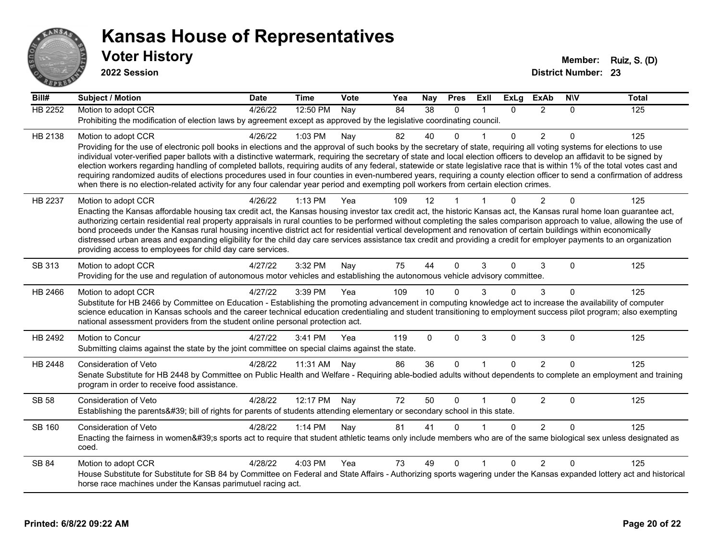

**2022 Session**

| Bill#          | <b>Subject / Motion</b>                                                                                                                                                                                                                                                                                                                                 | <b>Date</b> | <b>Time</b> | <b>Vote</b> | Yea | <b>Nay</b>  | <b>Pres</b> | ExII         | <b>ExLg</b> | <b>ExAb</b>    | <b>NIV</b>  | <b>Total</b> |
|----------------|---------------------------------------------------------------------------------------------------------------------------------------------------------------------------------------------------------------------------------------------------------------------------------------------------------------------------------------------------------|-------------|-------------|-------------|-----|-------------|-------------|--------------|-------------|----------------|-------------|--------------|
| <b>HB 2252</b> | Motion to adopt CCR                                                                                                                                                                                                                                                                                                                                     | 4/26/22     | 12:50 PM    | Nay         | 84  | 38          | $\Omega$    |              | 0           | $\overline{2}$ | $\Omega$    | 125          |
|                | Prohibiting the modification of election laws by agreement except as approved by the legislative coordinating council.                                                                                                                                                                                                                                  |             |             |             |     |             |             |              |             |                |             |              |
| HB 2138        | Motion to adopt CCR                                                                                                                                                                                                                                                                                                                                     | 4/26/22     | 1:03 PM     | Nay         | 82  | 40          | $\Omega$    |              | 0           | $\overline{2}$ | $\Omega$    | 125          |
|                | Providing for the use of electronic poll books in elections and the approval of such books by the secretary of state, requiring all voting systems for elections to use                                                                                                                                                                                 |             |             |             |     |             |             |              |             |                |             |              |
|                | individual voter-verified paper ballots with a distinctive watermark, requiring the secretary of state and local election officers to develop an affidavit to be signed by                                                                                                                                                                              |             |             |             |     |             |             |              |             |                |             |              |
|                | election workers regarding handling of completed ballots, requiring audits of any federal, statewide or state legislative race that is within 1% of the total votes cast and<br>requiring randomized audits of elections procedures used in four counties in even-numbered years, requiring a county election officer to send a confirmation of address |             |             |             |     |             |             |              |             |                |             |              |
|                | when there is no election-related activity for any four calendar year period and exempting poll workers from certain election crimes.                                                                                                                                                                                                                   |             |             |             |     |             |             |              |             |                |             |              |
| HB 2237        | Motion to adopt CCR                                                                                                                                                                                                                                                                                                                                     | 4/26/22     | 1:13 PM     | Yea         | 109 | 12          |             |              |             | 2              | $\Omega$    | 125          |
|                | Enacting the Kansas affordable housing tax credit act, the Kansas housing investor tax credit act, the historic Kansas act, the Kansas rural home loan guarantee act,                                                                                                                                                                                   |             |             |             |     |             |             |              |             |                |             |              |
|                | authorizing certain residential real property appraisals in rural counties to be performed without completing the sales comparison approach to value, allowing the use of                                                                                                                                                                               |             |             |             |     |             |             |              |             |                |             |              |
|                | bond proceeds under the Kansas rural housing incentive district act for residential vertical development and renovation of certain buildings within economically                                                                                                                                                                                        |             |             |             |     |             |             |              |             |                |             |              |
|                | distressed urban areas and expanding eligibility for the child day care services assistance tax credit and providing a credit for employer payments to an organization<br>providing access to employees for child day care services.                                                                                                                    |             |             |             |     |             |             |              |             |                |             |              |
|                |                                                                                                                                                                                                                                                                                                                                                         |             |             |             |     |             |             |              |             |                |             |              |
| SB 313         | Motion to adopt CCR                                                                                                                                                                                                                                                                                                                                     | 4/27/22     | 3:32 PM     | Nay         | 75  | 44          | $\Omega$    | 3            | $\Omega$    | 3              | $\Omega$    | 125          |
|                | Providing for the use and regulation of autonomous motor vehicles and establishing the autonomous vehicle advisory committee.                                                                                                                                                                                                                           |             |             |             |     |             |             |              |             |                |             |              |
| HB 2466        | Motion to adopt CCR                                                                                                                                                                                                                                                                                                                                     | 4/27/22     | 3:39 PM     | Yea         | 109 | 10          |             | 3            | $\Omega$    | 3              | $\Omega$    | 125          |
|                | Substitute for HB 2466 by Committee on Education - Establishing the promoting advancement in computing knowledge act to increase the availability of computer<br>science education in Kansas schools and the career technical education credentialing and student transitioning to employment success pilot program; also exempting                     |             |             |             |     |             |             |              |             |                |             |              |
|                | national assessment providers from the student online personal protection act.                                                                                                                                                                                                                                                                          |             |             |             |     |             |             |              |             |                |             |              |
| HB 2492        | Motion to Concur                                                                                                                                                                                                                                                                                                                                        | 4/27/22     | 3:41 PM     | Yea         | 119 | $\mathbf 0$ | $\mathbf 0$ | 3            | $\mathbf 0$ | 3              | $\mathbf 0$ | 125          |
|                | Submitting claims against the state by the joint committee on special claims against the state.                                                                                                                                                                                                                                                         |             |             |             |     |             |             |              |             |                |             |              |
|                |                                                                                                                                                                                                                                                                                                                                                         |             |             |             |     |             |             |              |             |                |             |              |
| HB 2448        | Consideration of Veto                                                                                                                                                                                                                                                                                                                                   | 4/28/22     | 11:31 AM    | Nay         | 86  | 36          | $\mathbf 0$ | $\mathbf{1}$ | $\Omega$    | 2              | $\Omega$    | 125          |
|                | Senate Substitute for HB 2448 by Committee on Public Health and Welfare - Requiring able-bodied adults without dependents to complete an employment and training<br>program in order to receive food assistance.                                                                                                                                        |             |             |             |     |             |             |              |             |                |             |              |
|                |                                                                                                                                                                                                                                                                                                                                                         |             |             |             |     |             |             |              |             |                |             |              |
| <b>SB 58</b>   | <b>Consideration of Veto</b>                                                                                                                                                                                                                                                                                                                            | 4/28/22     | 12:17 PM    | Nay         | 72  | 50          | $\Omega$    |              | 0           | 2              | $\Omega$    | 125          |
|                | Establishing the parents' bill of rights for parents of students attending elementary or secondary school in this state.                                                                                                                                                                                                                                |             |             |             |     |             |             |              |             |                |             |              |
| <b>SB 160</b>  | Consideration of Veto                                                                                                                                                                                                                                                                                                                                   | 4/28/22     | 1:14 PM     | Nay         | 81  | 41          | $\Omega$    |              | 0           | $\overline{2}$ | $\Omega$    | 125          |
|                | Enacting the fairness in women's sports act to require that student athletic teams only include members who are of the same biological sex unless designated as<br>coed.                                                                                                                                                                                |             |             |             |     |             |             |              |             |                |             |              |
| SB 84          | Motion to adopt CCR                                                                                                                                                                                                                                                                                                                                     | 4/28/22     | 4:03 PM     | Yea         | 73  | 49          | $\Omega$    |              | $\Omega$    | 2              | $\Omega$    | 125          |
|                | House Substitute for Substitute for SB 84 by Committee on Federal and State Affairs - Authorizing sports wagering under the Kansas expanded lottery act and historical                                                                                                                                                                                  |             |             |             |     |             |             |              |             |                |             |              |
|                | horse race machines under the Kansas parimutuel racing act.                                                                                                                                                                                                                                                                                             |             |             |             |     |             |             |              |             |                |             |              |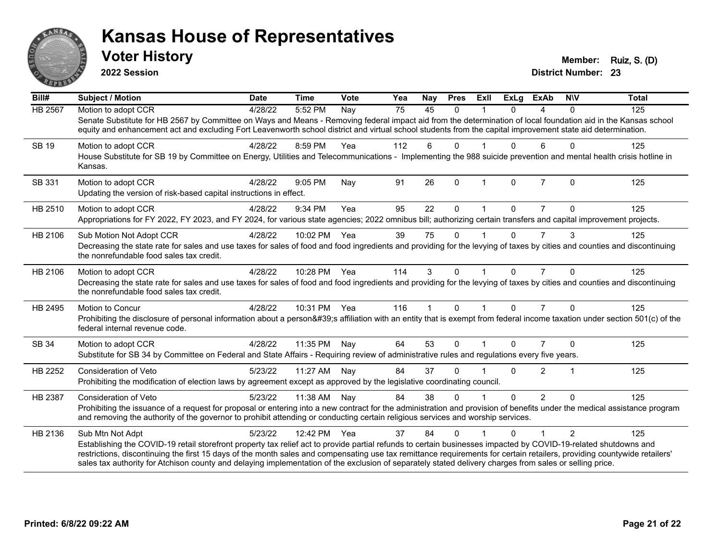

**2022 Session**

**District Number: 23 Voter History Member: Ruiz, S. (D)** 

| Bill#        | <b>Subject / Motion</b>                                                                                                                                                                                                                                                                                                             | <b>Date</b> | <b>Time</b>  | Vote | Yea | <b>Nay</b>  | <b>Pres</b> | Exll                 | <b>ExLg</b> | <b>ExAb</b>    | <b>NIV</b> | <b>Total</b> |
|--------------|-------------------------------------------------------------------------------------------------------------------------------------------------------------------------------------------------------------------------------------------------------------------------------------------------------------------------------------|-------------|--------------|------|-----|-------------|-------------|----------------------|-------------|----------------|------------|--------------|
| HB 2567      | Motion to adopt CCR                                                                                                                                                                                                                                                                                                                 | 4/28/22     | 5:52 PM      | Nay  | 75  | 45          | $\Omega$    |                      | $\Omega$    | 4              | $\Omega$   | 125          |
|              | Senate Substitute for HB 2567 by Committee on Ways and Means - Removing federal impact aid from the determination of local foundation aid in the Kansas school<br>equity and enhancement act and excluding Fort Leavenworth school district and virtual school students from the capital improvement state aid determination.       |             |              |      |     |             |             |                      |             |                |            |              |
| <b>SB 19</b> | Motion to adopt CCR                                                                                                                                                                                                                                                                                                                 | 4/28/22     | 8:59 PM      | Yea  | 112 | 6           | $\Omega$    |                      | 0           | 6              | $\Omega$   | 125          |
|              | House Substitute for SB 19 by Committee on Energy, Utilities and Telecommunications - Implementing the 988 suicide prevention and mental health crisis hotline in<br>Kansas.                                                                                                                                                        |             |              |      |     |             |             |                      |             |                |            |              |
| SB 331       | Motion to adopt CCR                                                                                                                                                                                                                                                                                                                 | 4/28/22     | 9:05 PM      | Nay  | 91  | 26          | $\Omega$    | $\mathbf{1}$         | $\Omega$    | $\overline{7}$ | $\Omega$   | 125          |
|              | Updating the version of risk-based capital instructions in effect.                                                                                                                                                                                                                                                                  |             |              |      |     |             |             |                      |             |                |            |              |
| HB 2510      | Motion to adopt CCR                                                                                                                                                                                                                                                                                                                 | 4/28/22     | 9:34 PM      | Yea  | 95  | 22          | $\Omega$    |                      | 0           | 7              | 0          | 125          |
|              | Appropriations for FY 2022, FY 2023, and FY 2024, for various state agencies; 2022 omnibus bill; authorizing certain transfers and capital improvement projects.                                                                                                                                                                    |             |              |      |     |             |             |                      |             |                |            |              |
| HB 2106      | Sub Motion Not Adopt CCR                                                                                                                                                                                                                                                                                                            | 4/28/22     | 10:02 PM     | Yea  | 39  | 75          | $\Omega$    |                      | 0           | $\overline{7}$ | 3          | 125          |
|              | Decreasing the state rate for sales and use taxes for sales of food and food ingredients and providing for the levying of taxes by cities and counties and discontinuing<br>the nonrefundable food sales tax credit.                                                                                                                |             |              |      |     |             |             |                      |             |                |            |              |
| HB 2106      | Motion to adopt CCR                                                                                                                                                                                                                                                                                                                 | 4/28/22     | 10:28 PM Yea |      | 114 | 3           | $\Omega$    | $\blacktriangleleft$ | $\Omega$    | $\overline{7}$ | $\Omega$   | 125          |
|              | Decreasing the state rate for sales and use taxes for sales of food and food ingredients and providing for the levying of taxes by cities and counties and discontinuing<br>the nonrefundable food sales tax credit.                                                                                                                |             |              |      |     |             |             |                      |             |                |            |              |
| HB 2495      | Motion to Concur                                                                                                                                                                                                                                                                                                                    | 4/28/22     | 10:31 PM Yea |      | 116 | $\mathbf 1$ | $\Omega$    | $\mathbf{1}$         | $\Omega$    | $\overline{7}$ | $\Omega$   | 125          |
|              | Prohibiting the disclosure of personal information about a person's affiliation with an entity that is exempt from federal income taxation under section 501(c) of the<br>federal internal revenue code.                                                                                                                            |             |              |      |     |             |             |                      |             |                |            |              |
| SB 34        | Motion to adopt CCR                                                                                                                                                                                                                                                                                                                 | 4/28/22     | 11:35 PM     | Nay  | 64  | 53          | $\mathbf 0$ |                      | $\Omega$    | $\overline{7}$ | $\Omega$   | 125          |
|              | Substitute for SB 34 by Committee on Federal and State Affairs - Requiring review of administrative rules and regulations every five years.                                                                                                                                                                                         |             |              |      |     |             |             |                      |             |                |            |              |
| HB 2252      | <b>Consideration of Veto</b>                                                                                                                                                                                                                                                                                                        | 5/23/22     | 11:27 AM     | Nay  | 84  | 37          | 0           |                      | 0           | $\overline{2}$ | 1          | 125          |
|              | Prohibiting the modification of election laws by agreement except as approved by the legislative coordinating council.                                                                                                                                                                                                              |             |              |      |     |             |             |                      |             |                |            |              |
| HB 2387      | <b>Consideration of Veto</b>                                                                                                                                                                                                                                                                                                        | 5/23/22     | 11:38 AM     | Nay  | 84  | 38          | $\Omega$    |                      | $\Omega$    | $\overline{2}$ | $\Omega$   | 125          |
|              | Prohibiting the issuance of a request for proposal or entering into a new contract for the administration and provision of benefits under the medical assistance program<br>and removing the authority of the governor to prohibit attending or conducting certain religious services and worship services.                         |             |              |      |     |             |             |                      |             |                |            |              |
| HB 2136      | Sub Mtn Not Adpt                                                                                                                                                                                                                                                                                                                    | 5/23/22     | 12:42 PM     | Yea  | 37  | 84          | $\Omega$    |                      | 0           | 1              | 2          | 125          |
|              | Establishing the COVID-19 retail storefront property tax relief act to provide partial refunds to certain businesses impacted by COVID-19-related shutdowns and                                                                                                                                                                     |             |              |      |     |             |             |                      |             |                |            |              |
|              | restrictions, discontinuing the first 15 days of the month sales and compensating use tax remittance requirements for certain retailers, providing countywide retailers'<br>sales tax authority for Atchison county and delaying implementation of the exclusion of separately stated delivery charges from sales or selling price. |             |              |      |     |             |             |                      |             |                |            |              |